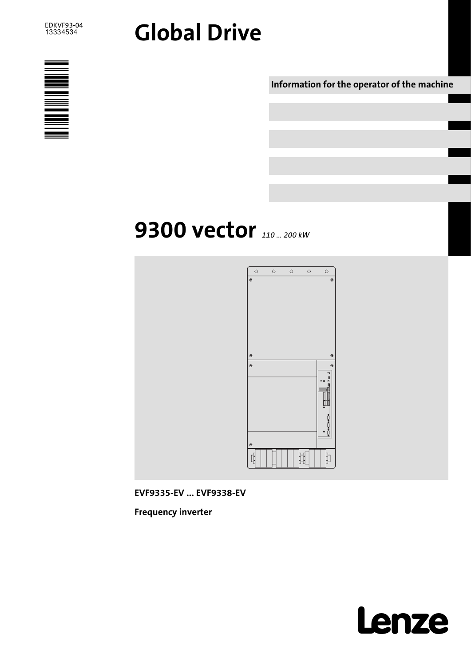# Global Drive



Information for the operator of the machine

# 9300 vector 110 ... 200 kw



EVF9335−EV ... EVF9338−EV

Frequency inverter

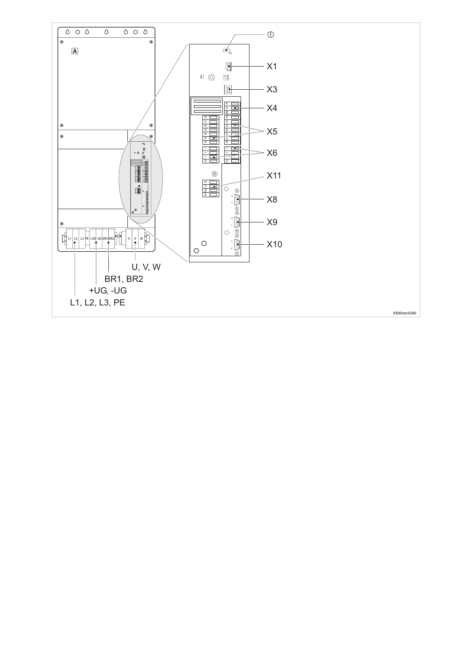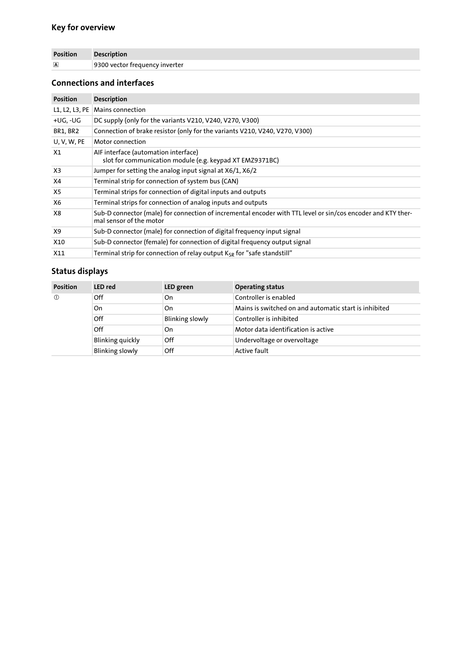## Key for overview

| <b>Position</b>         | <b>Description</b>             |
|-------------------------|--------------------------------|
| $\overline{\mathbf{A}}$ | 9300 vector frequency inverter |

## Connections and interfaces

| <b>Position</b> | <b>Description</b>                                                                                                                      |
|-----------------|-----------------------------------------------------------------------------------------------------------------------------------------|
| L1, L2, L3, PE  | Mains connection                                                                                                                        |
| +UG, -UG        | DC supply (only for the variants V210, V240, V270, V300)                                                                                |
| BR1, BR2        | Connection of brake resistor (only for the variants V210, V240, V270, V300)                                                             |
| U, V, W, PE     | Motor connection                                                                                                                        |
| X1              | AIF interface (automation interface)<br>slot for communication module (e.g. keypad XT EMZ9371BC)                                        |
| X3              | Jumper for setting the analog input signal at X6/1, X6/2                                                                                |
| X4              | Terminal strip for connection of system bus (CAN)                                                                                       |
| X5              | Terminal strips for connection of digital inputs and outputs                                                                            |
| X6              | Terminal strips for connection of analog inputs and outputs                                                                             |
| X8              | Sub-D connector (male) for connection of incremental encoder with TTL level or sin/cos encoder and KTY ther-<br>mal sensor of the motor |
| X9              | Sub-D connector (male) for connection of digital frequency input signal                                                                 |
| X10             | Sub-D connector (female) for connection of digital frequency output signal                                                              |
| X11             | Terminal strip for connection of relay output $K_{SR}$ for "safe standstill"                                                            |

## Status displays

| <b>Position</b> | <b>LED</b> red         | LED green              | <b>Operating status</b>                               |
|-----------------|------------------------|------------------------|-------------------------------------------------------|
| $\circled{0}$   | Off                    | On                     | Controller is enabled                                 |
|                 | On                     | On                     | Mains is switched on and automatic start is inhibited |
|                 | Off                    | <b>Blinking slowly</b> | Controller is inhibited                               |
|                 | Off                    | On                     | Motor data identification is active                   |
|                 | Blinking quickly       | Off                    | Undervoltage or overvoltage                           |
|                 | <b>Blinking slowly</b> | Off                    | <b>Active fault</b>                                   |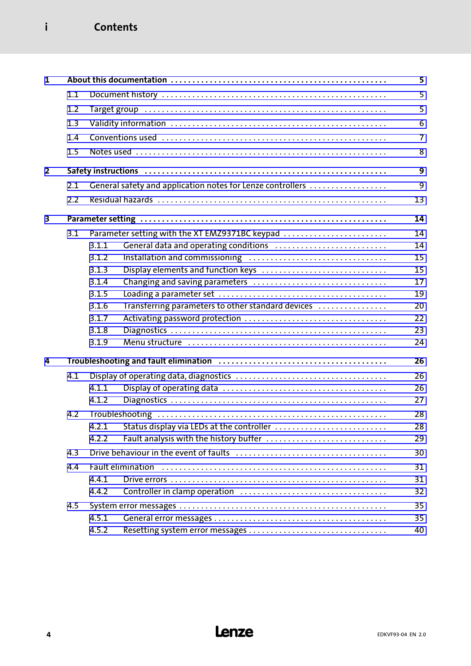## i Contents

| $\mathbf{1}$   |     |       |                                                            | 5              |
|----------------|-----|-------|------------------------------------------------------------|----------------|
|                | 1.1 |       |                                                            | 5              |
|                | 1.2 |       |                                                            | 5              |
|                | 1.3 |       |                                                            | 6              |
|                | 1.4 |       |                                                            | $\overline{7}$ |
|                | 1.5 |       |                                                            | 8              |
|                |     |       |                                                            |                |
| $\overline{2}$ |     |       |                                                            | 9              |
|                | 2.1 |       | General safety and application notes for Lenze controllers | 9              |
|                | 2.2 |       |                                                            | 13             |
| 3              |     |       |                                                            | 14             |
|                | 3.1 |       | Parameter setting with the XT EMZ9371BC keypad             | 14             |
|                |     | 3.1.1 | General data and operating conditions                      | 14             |
|                |     | 3.1.2 |                                                            | 15             |
|                |     | 3.1.3 | Display elements and function keys                         | 15             |
|                |     | 3.1.4 | Changing and saving parameters                             | 17             |
|                |     | 3.1.5 |                                                            | 19             |
|                |     | 3.1.6 | Transferring parameters to other standard devices          | 20             |
|                |     | 3.1.7 |                                                            | 22             |
|                |     | 3.1.8 |                                                            | 23             |
|                |     | 3.1.9 |                                                            | 24             |
| 4              |     |       |                                                            | 26             |
|                | 4.1 |       |                                                            | 26             |
|                |     | 4.1.1 |                                                            | 26             |
|                |     | 4.1.2 |                                                            | 27             |
|                | 4.2 |       |                                                            | 28             |
|                |     |       | 4.2.1 Status display via LEDs at the controller            | 28             |
|                |     | 4.2.2 | Fault analysis with the history buffer                     | 29             |
|                | 4.3 |       |                                                            | 30             |
|                | 4.4 |       | <b>Fault elimination</b>                                   | 31             |
|                |     | 4.4.1 |                                                            | 31             |
|                |     | 4.4.2 |                                                            | 32             |
|                | 4.5 |       |                                                            | 35             |
|                |     | 4.5.1 |                                                            | 35             |
|                |     | 4.5.2 |                                                            | 40             |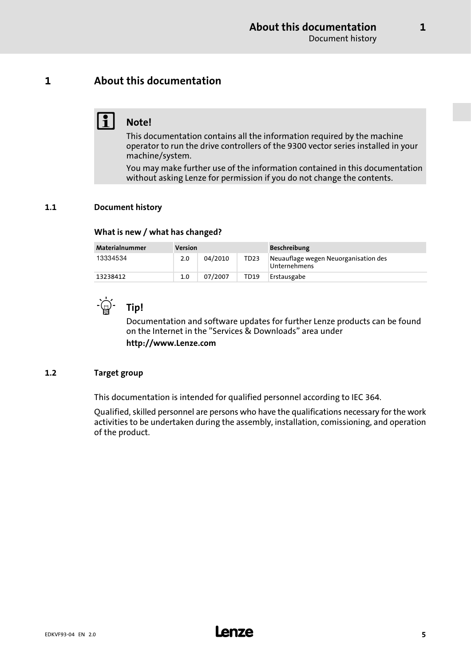## <span id="page-4-0"></span>1 About this documentation

## $\begin{array}{|c|c|}\n\hline\n\textbf{1} & \text{Note!}\n\end{array}$

This documentation contains all the information required by the machine operator to run the drive controllers of the 9300 vector series installed in your machine/system.

You may make further use of the information contained in this documentation without asking Lenze for permission if you do not change the contents.

#### 1.1 Document history

#### What is new / what has changed?

| Materialnummer<br>Version |     | <b>Beschreibung</b> |                  |                                                      |
|---------------------------|-----|---------------------|------------------|------------------------------------------------------|
| 13334534                  | 2.0 | 04/2010             | TD <sub>23</sub> | Neuauflage wegen Neuorganisation des<br>Unternehmens |
| 13238412                  | 1.0 | 07/2007             | TD19             | Erstausgabe                                          |



## $\Box$  $\Box$  Tip!

Documentation and software updates for further Lenze products can be found on the Internet in the "Services & Downloads" area under http://www.Lenze.com

#### 1.2 Target group

This documentation is intended for qualified personnel according to IEC 364.

Qualified, skilled personnel are persons who have the qualifications necessary for the work activities to be undertaken during the assembly, installation, comissioning, and operation of the product.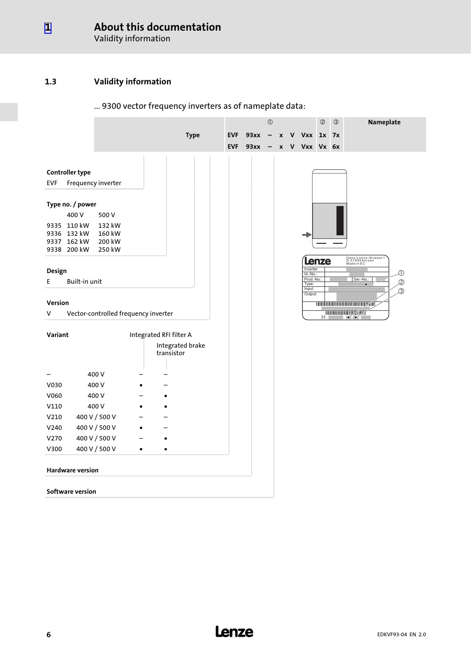#### <span id="page-5-0"></span>About this documentation [1](#page-4-0)

Validity information

#### 1.3 Validity information

#### $\odot$ **2** 3 **Nameplate** Type EVF  $93xx - x$  V Vxx 1x 7x EVF  $93xx - x$  V Vxx Vx 6x Controller type EVF Frequency inverter Type no. / power 400 V 500 V 9335 110 kW 132 kW 9336 132 kW 160 kW 9337 162 kW 200 kW 9338 200 kW 250 kW Lenze-Strasse 1<br>
Made in EC Made in EC Design Inverter  $\overline{\mathbb{O}}$  $Id.-Nc$ T. E Built−in unit Prod.-No.: Ser.-No.:  $\mathcal{Q}$ Type: Input:  $\circled{3}$ **Output** Version 0045042000129567000005 **1** 933 . 933 . 943 V Vector−controlled frequency inverter Variant **Integrated RFI filter A** Integrated brake transistor – 400 V – – V030 400 V + –  $V060$  400 V – • V110 400 V + - $V210$  400 V / 500 V – – – V240 400 V / 500 V · –  $V270$  400 V / 500 V – • V300 400 V / 500 V ·  $\bullet$ Hardware version Software version

#### ... 9300 vector frequency inverters as of nameplate data: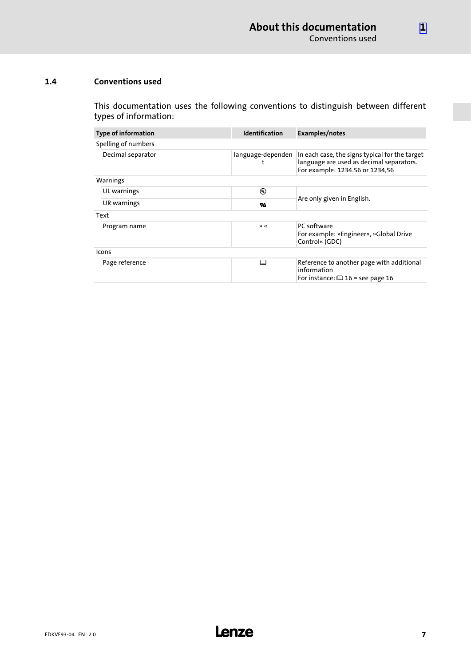#### <span id="page-6-0"></span>1.4 Conventions used

This documentation uses the following conventions to distinguish between different types of information:

| <b>Type of information</b> | <b>Identification</b> | Examples/notes                                                                                                                |  |  |  |
|----------------------------|-----------------------|-------------------------------------------------------------------------------------------------------------------------------|--|--|--|
| Spelling of numbers        |                       |                                                                                                                               |  |  |  |
| Decimal separator          | language-dependen     | In each case, the signs typical for the target<br>language are used as decimal separators.<br>For example: 1234.56 or 1234,56 |  |  |  |
| Warnings                   |                       |                                                                                                                               |  |  |  |
| UL warnings                | ⊕                     |                                                                                                                               |  |  |  |
| UR warnings                | w                     | Are only given in English.                                                                                                    |  |  |  |
| Text                       |                       |                                                                                                                               |  |  |  |
| Program name               | $\mathcal{P}$         | PC software                                                                                                                   |  |  |  |
|                            |                       | For example: »Engineer«, »Global Drive<br>Control« (GDC)                                                                      |  |  |  |
| Icons                      |                       |                                                                                                                               |  |  |  |
| Page reference             | ◫                     | Reference to another page with additional<br>information<br>For instance: $\Box$ 16 = see page 16                             |  |  |  |

[1](#page-4-0)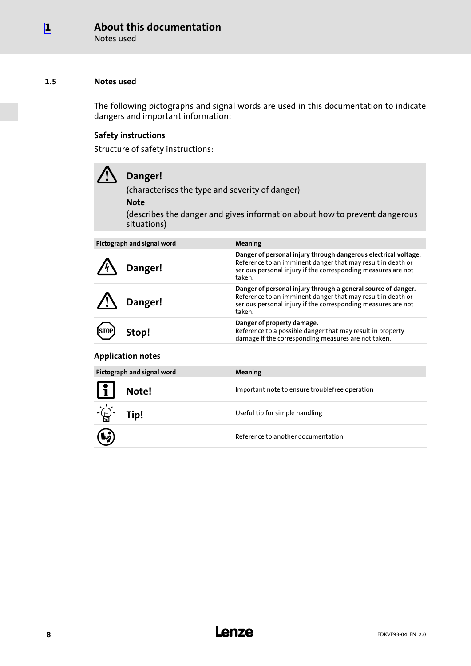Notes used

#### <span id="page-7-0"></span>1.5 Notes used

The following pictographs and signal words are used in this documentation to indicate dangers and important information:

#### Safety instructions

Structure of safety instructions:

|      | Danger!<br>(characterises the type and severity of danger)<br><b>Note</b><br>(describes the danger and gives information about how to prevent dangerous<br>situations) |                                                                                                                                                                                                           |  |  |
|------|------------------------------------------------------------------------------------------------------------------------------------------------------------------------|-----------------------------------------------------------------------------------------------------------------------------------------------------------------------------------------------------------|--|--|
|      | Pictograph and signal word                                                                                                                                             | Meaning                                                                                                                                                                                                   |  |  |
|      | Danger!                                                                                                                                                                | Danger of personal injury through dangerous electrical voltage.<br>Reference to an imminent danger that may result in death or<br>serious personal injury if the corresponding measures are not<br>taken. |  |  |
|      | Danger!                                                                                                                                                                | Danger of personal injury through a general source of danger.<br>Reference to an imminent danger that may result in death or<br>serious personal injury if the corresponding measures are not<br>taken.   |  |  |
| STOP | Stop!                                                                                                                                                                  | Danger of property damage.<br>Reference to a possible danger that may result in property<br>damage if the corresponding measures are not taken                                                            |  |  |

#### Application notes

| Pictograph and signal word                             | <b>Meaning</b>                                 |
|--------------------------------------------------------|------------------------------------------------|
| <u>L</u><br>Note!                                      | Important note to ensure troublefree operation |
| $-\underline{\overleftrightarrow{\mathbb{Q}}}$<br>Tip! | Useful tip for simple handling                 |
| $\mathbf{G}$                                           | Reference to another documentation             |

damage if the corresponding measures are not taken.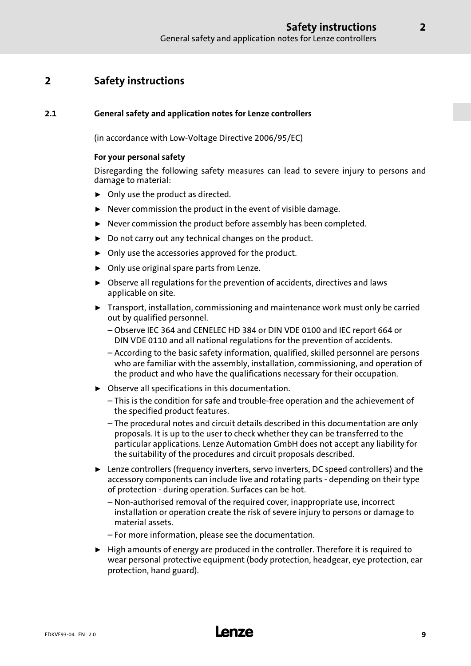## <span id="page-8-0"></span>2 Safety instructions

#### 2.1 General safety and application notes for Lenze controllers

(in accordance with Low−Voltage Directive 2006/95/EC)

#### For your personal safety

Disregarding the following safety measures can lead to severe injury to persons and damage to material:

- $\triangleright$  Only use the product as directed.
- $\blacktriangleright$  Never commission the product in the event of visible damage.
- $\blacktriangleright$  Never commission the product before assembly has been completed.
- $\triangleright$  Do not carry out any technical changes on the product.
- $\triangleright$  Only use the accessories approved for the product.
- $\triangleright$  Only use original spare parts from Lenze.
- $\triangleright$  Observe all regulations for the prevention of accidents, directives and laws applicable on site.
- $\blacktriangleright$  Transport, installation, commissioning and maintenance work must only be carried out by qualified personnel.
	- Observe IEC 364 and CENELEC HD 384 or DIN VDE 0100 and IEC report 664 or DIN VDE 0110 and all national regulations for the prevention of accidents.
	- According to the basic safety information, qualified, skilled personnel are persons who are familiar with the assembly, installation, commissioning, and operation of the product and who have the qualifications necessary for their occupation.
- $\triangleright$  Observe all specifications in this documentation.
	- This is the condition for safe and trouble−free operation and the achievement of the specified product features.
	- The procedural notes and circuit details described in this documentation are only proposals. It is up to the user to check whether they can be transferred to the particular applications. Lenze Automation GmbH does not accept any liability for the suitability of the procedures and circuit proposals described.
- ► Lenze controllers (frequency inverters, servo inverters, DC speed controllers) and the accessory components can include live and rotating parts − depending on their type of protection − during operation. Surfaces can be hot.
	- Non−authorised removal of the required cover, inappropriate use, incorrect installation or operation create the risk of severe injury to persons or damage to material assets.
	- For more information, please see the documentation.
- $\blacktriangleright$  High amounts of energy are produced in the controller. Therefore it is required to wear personal protective equipment (body protection, headgear, eye protection, ear protection, hand guard).

# EDKVF93−04 EN 2.0 **Lenze**

2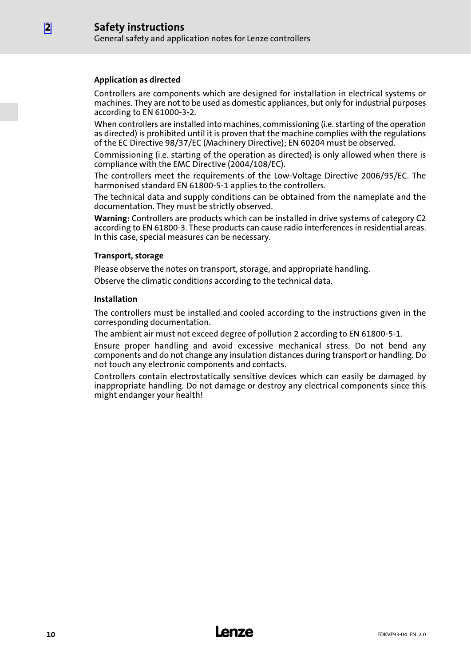#### Application as directed

Controllers are components which are designed for installation in electrical systems or machines. They are not to be used as domestic appliances, but only for industrial purposes according to EN 61000−3−2.

When controllers are installed into machines, commissioning (i.e. starting of the operation as directed) is prohibited until it is proven that the machine complies with the regulations of the EC Directive 98/37/EC (Machinery Directive); EN 60204 must be observed.

Commissioning (i.e. starting of the operation as directed) is only allowed when there is compliance with the EMC Directive (2004/108/EC).

The controllers meet the requirements of the Low−Voltage Directive 2006/95/EC. The harmonised standard EN 61800−5−1 applies to the controllers.

The technical data and supply conditions can be obtained from the nameplate and the documentation. They must be strictly observed.

Warning: Controllers are products which can be installed in drive systems of category C2 according to EN 61800−3. These products can cause radio interferences in residential areas. In this case, special measures can be necessary.

#### Transport, storage

Please observe the notes on transport, storage, and appropriate handling.

Observe the climatic conditions according to the technical data.

#### Installation

The controllers must be installed and cooled according to the instructions given in the corresponding documentation.

The ambient air must not exceed degree of pollution 2 according to EN 61800−5−1.

Ensure proper handling and avoid excessive mechanical stress. Do not bend any components and do not change any insulation distances during transport or handling. Do not touch any electronic components and contacts.

Controllers contain electrostatically sensitive devices which can easily be damaged by inappropriate handling. Do not damage or destroy any electrical components since this might endanger your health!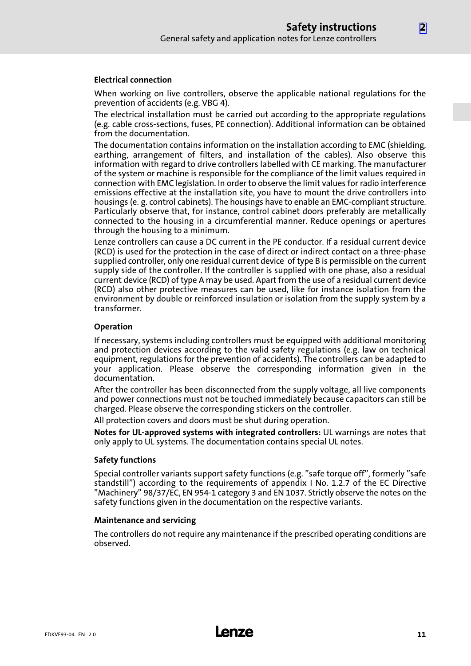#### Electrical connection

When working on live controllers, observe the applicable national regulations for the prevention of accidents (e.g. VBG 4).

The electrical installation must be carried out according to the appropriate regulations (e.g. cable cross−sections, fuses, PE connection). Additional information can be obtained from the documentation.

The documentation contains information on the installation according to EMC (shielding, earthing, arrangement of filters, and installation of the cables). Also observe this information with regard to drive controllers labelled with CE marking. The manufacturer of the system or machine is responsible for the compliance of the limit values required in connection with EMC legislation. In order to observe the limit values for radio interference emissions effective at the installation site, you have to mount the drive controllers into housings (e. g. control cabinets). The housings have to enable an EMC−compliant structure. Particularly observe that, for instance, control cabinet doors preferably are metallically connected to the housing in a circumferential manner. Reduce openings or apertures through the housing to a minimum.

Lenze controllers can cause a DC current in the PE conductor. If a residual current device (RCD) is used for the protection in the case of direct or indirect contact on a three−phase supplied controller, only one residual current device of type B is permissible on the current supply side of the controller. If the controller is supplied with one phase, also a residual current device (RCD) of type A may be used. Apart from the use of a residual current device (RCD) also other protective measures can be used, like for instance isolation from the environment by double or reinforced insulation or isolation from the supply system by a transformer.

#### Operation

If necessary, systems including controllers must be equipped with additional monitoring and protection devices according to the valid safety regulations (e.g. law on technical equipment, regulations for the prevention of accidents). The controllers can be adapted to your application. Please observe the corresponding information given in the documentation.

After the controller has been disconnected from the supply voltage, all live components and power connections must not be touched immediately because capacitors can still be charged. Please observe the corresponding stickers on the controller.

All protection covers and doors must be shut during operation.

Notes for UL−approved systems with integrated controllers: UL warnings are notes that only apply to UL systems. The documentation contains special UL notes.

#### Safety functions

Special controller variants support safety functions (e.g. "safe torque off", formerly "safe standstill") according to the requirements of appendix I No. 1.2.7 of the EC Directive "Machinery" 98/37/EC, EN 954−1 category 3 and EN 1037. Strictly observe the notes on the safety functions given in the documentation on the respective variants.

#### Maintenance and servicing

The controllers do not require any maintenance if the prescribed operating conditions are observed.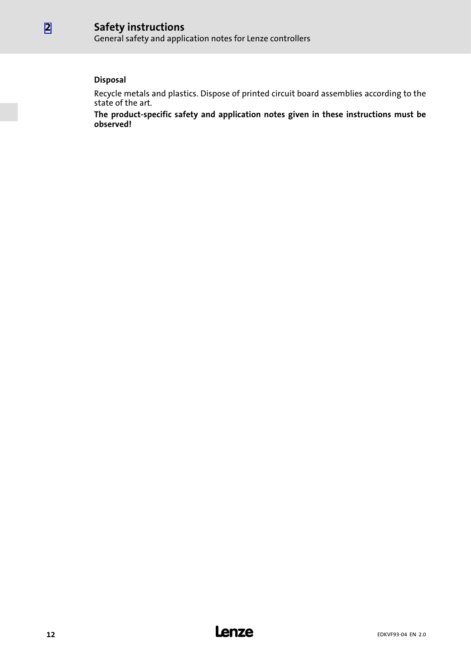General safety and application notes for Lenze controllers

### **Disposal**

Recycle metals and plastics. Dispose of printed circuit board assemblies according to the state of the art.

The product−specific safety and application notes given in these instructions must be observed!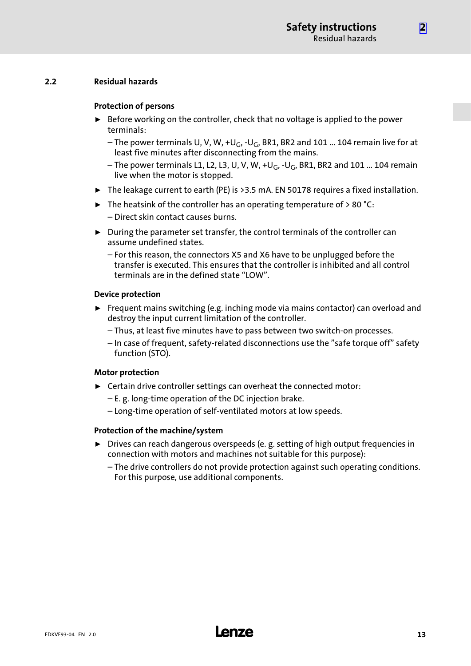[2](#page-8-0)

#### <span id="page-12-0"></span>2.2 Residual hazards

#### Protection of persons

- $\triangleright$  Before working on the controller, check that no voltage is applied to the power terminals:
	- The power terminals U, V, W, +U<sub>G</sub>, -U<sub>G</sub>, BR1, BR2 and 101 ... 104 remain live for at least five minutes after disconnecting from the mains.
	- The power terminals L1, L2, L3, U, V, W, +U<sub>G</sub>, -U<sub>G</sub>, BR1, BR2 and 101 ... 104 remain live when the motor is stopped.
- $\triangleright$  The leakage current to earth (PE) is >3.5 mA. EN 50178 requires a fixed installation.
- $\blacktriangleright$  The heatsink of the controller has an operating temperature of > 80 °C: – Direct skin contact causes burns.
- $\triangleright$  During the parameter set transfer, the control terminals of the controller can assume undefined states.
	- For this reason, the connectors X5 and X6 have to be unplugged before the transfer is executed. This ensures that the controller is inhibited and all control terminals are in the defined state "LOW".

#### Device protection

- $\blacktriangleright$  Frequent mains switching (e.g. inching mode via mains contactor) can overload and destroy the input current limitation of the controller.
	- Thus, at least five minutes have to pass between two switch−on processes.
	- In case of frequent, safety−related disconnections use the "safe torque off" safety function (STO).

#### Motor protection

- $\blacktriangleright$  Certain drive controller settings can overheat the connected motor:
	- E. g. long−time operation of the DC injection brake.
	- Long−time operation of self−ventilated motors at low speeds.

#### Protection of the machine/system

- ▶ Drives can reach dangerous overspeeds (e. g. setting of high output frequencies in connection with motors and machines not suitable for this purpose):
	- The drive controllers do not provide protection against such operating conditions. For this purpose, use additional components.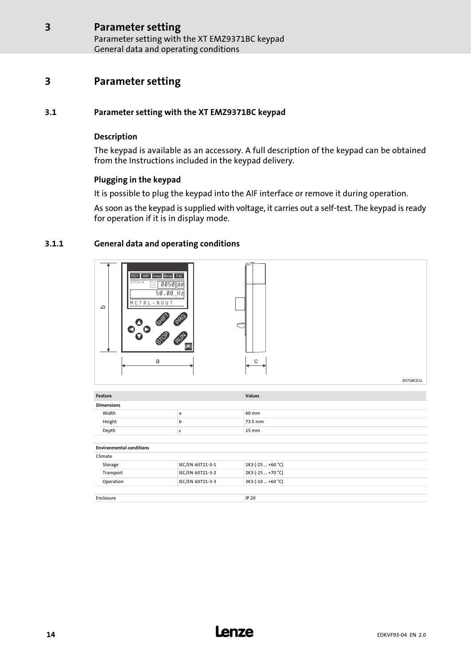Parameter setting with the XT EMZ9371BC keypad General data and operating conditions

## <span id="page-13-0"></span>3 Parameter setting

#### 3.1 Parameter setting with the XT EMZ9371BC keypad

#### Description

The keypad is available as an accessory. A full description of the keypad can be obtained from the Instructions included in the keypad delivery.

#### Plugging in the keypad

It is possible to plug the keypad into the AIF interface or remove it during operation.

As soon as the keypad is supplied with voltage, it carries out a self−test. The keypad is ready for operation if it is in display mode.

#### 3.1.1 General data and operating conditions

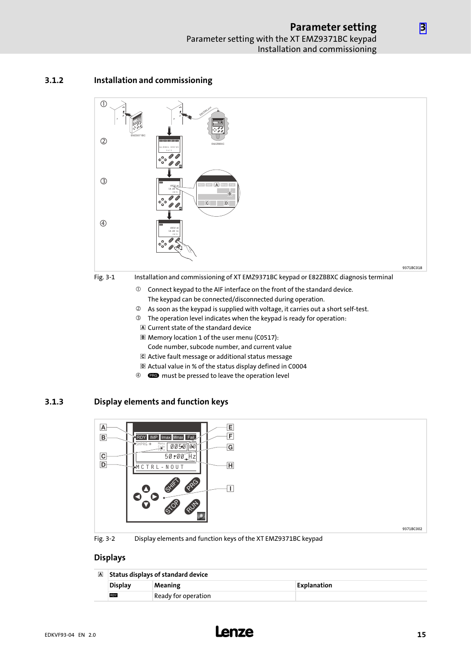#### <span id="page-14-0"></span>3.1.2 Installation and commissioning



- The keypad can be connected/disconnected during operation.
- As soon as the keypad is supplied with voltage, it carries out a short self−test.
- The operation level indicates when the keypad is ready for operation:
- A Current state of the standard device
- Memory location 1 of the user menu (C0517):
- Code number, subcode number, and current value
- Active fault message or additional status message
- Actual value in % of the status display defined in C0004
- <sup>4</sup> **CEO** must be pressed to leave the operation level

#### 3.1.3 Display elements and function keys



Fig. 3−2 Display elements and function keys of the XT EMZ9371BC keypad

#### Displays

| A Status displays of standard device |                     |                    |  |
|--------------------------------------|---------------------|--------------------|--|
| <b>Display</b>                       | Meaning             | <b>Explanation</b> |  |
| <b>RDY</b>                           | Ready for operation |                    |  |

[3](#page-13-0)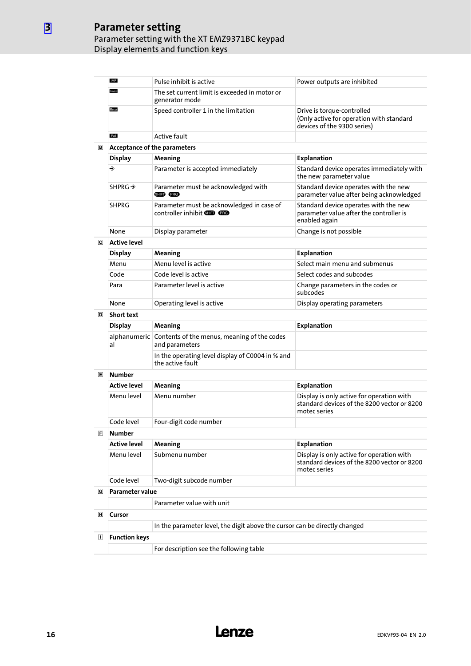#### Parameter setting Parameter setting with the XT EMZ9371BC keypad Display elements and function keys

|   | IMP                                                                                                | Pulse inhibit is active                                                        | Power outputs are inhibited                                                                              |  |  |  |  |
|---|----------------------------------------------------------------------------------------------------|--------------------------------------------------------------------------------|----------------------------------------------------------------------------------------------------------|--|--|--|--|
|   | Imax                                                                                               | The set current limit is exceeded in motor or<br>generator mode                |                                                                                                          |  |  |  |  |
|   | Mmax                                                                                               | Speed controller 1 in the limitation                                           | Drive is torque-controlled<br>(Only active for operation with standard<br>devices of the 9300 series)    |  |  |  |  |
|   | Fail                                                                                               | <b>Active fault</b>                                                            |                                                                                                          |  |  |  |  |
| B | <b>Acceptance of the parameters</b>                                                                |                                                                                |                                                                                                          |  |  |  |  |
|   | <b>Display</b>                                                                                     | Meaning                                                                        | <b>Explanation</b>                                                                                       |  |  |  |  |
|   | ◈                                                                                                  | Parameter is accepted immediately                                              | Standard device operates immediately with<br>the new parameter value                                     |  |  |  |  |
|   | SHPRG $\rightarrow$                                                                                | Parameter must be acknowledged with<br>SHIP PRG                                | Standard device operates with the new<br>parameter value after being acknowledged                        |  |  |  |  |
|   | <b>SHPRG</b>                                                                                       | Parameter must be acknowledged in case of<br>controller inhibit <b>GID PRG</b> | Standard device operates with the new<br>parameter value after the controller is<br>enabled again        |  |  |  |  |
|   | None                                                                                               | Display parameter                                                              | Change is not possible                                                                                   |  |  |  |  |
| ⊡ | <b>Active level</b>                                                                                |                                                                                |                                                                                                          |  |  |  |  |
|   | <b>Display</b>                                                                                     | Meaning                                                                        | <b>Explanation</b>                                                                                       |  |  |  |  |
|   | Menu                                                                                               | Menu level is active                                                           | Select main menu and submenus                                                                            |  |  |  |  |
|   | Code                                                                                               | Code level is active                                                           | Select codes and subcodes                                                                                |  |  |  |  |
|   | Para                                                                                               | Parameter level is active                                                      | Change parameters in the codes or<br>subcodes                                                            |  |  |  |  |
|   | None                                                                                               | Operating level is active                                                      | Display operating parameters                                                                             |  |  |  |  |
| D | <b>Short text</b>                                                                                  |                                                                                |                                                                                                          |  |  |  |  |
|   | <b>Display</b>                                                                                     | Meaning                                                                        | <b>Explanation</b>                                                                                       |  |  |  |  |
|   | al                                                                                                 | alphanumeric Contents of the menus, meaning of the codes<br>and parameters     |                                                                                                          |  |  |  |  |
|   |                                                                                                    | In the operating level display of C0004 in % and<br>the active fault           |                                                                                                          |  |  |  |  |
| 间 | <b>Number</b>                                                                                      |                                                                                |                                                                                                          |  |  |  |  |
|   | <b>Active level</b>                                                                                | Meaning                                                                        | <b>Explanation</b>                                                                                       |  |  |  |  |
|   | Menu level                                                                                         | Menu number                                                                    | Display is only active for operation with<br>standard devices of the 8200 vector or 8200<br>motec series |  |  |  |  |
|   | Code level                                                                                         | Four-digit code number                                                         |                                                                                                          |  |  |  |  |
| 冝 | <b>Number</b>                                                                                      |                                                                                |                                                                                                          |  |  |  |  |
|   | <b>Active level</b>                                                                                | Meaning                                                                        | <b>Explanation</b>                                                                                       |  |  |  |  |
|   | Menu level                                                                                         | Submenu number                                                                 | Display is only active for operation with<br>standard devices of the 8200 vector or 8200<br>motec series |  |  |  |  |
|   | Code level                                                                                         | Two-digit subcode number                                                       |                                                                                                          |  |  |  |  |
| G | <b>Parameter value</b>                                                                             |                                                                                |                                                                                                          |  |  |  |  |
|   | Parameter value with unit                                                                          |                                                                                |                                                                                                          |  |  |  |  |
| 圓 | Cursor                                                                                             |                                                                                |                                                                                                          |  |  |  |  |
|   |                                                                                                    |                                                                                |                                                                                                          |  |  |  |  |
| ◫ | In the parameter level, the digit above the cursor can be directly changed<br><b>Function keys</b> |                                                                                |                                                                                                          |  |  |  |  |
|   |                                                                                                    | For description see the following table                                        |                                                                                                          |  |  |  |  |
|   |                                                                                                    |                                                                                |                                                                                                          |  |  |  |  |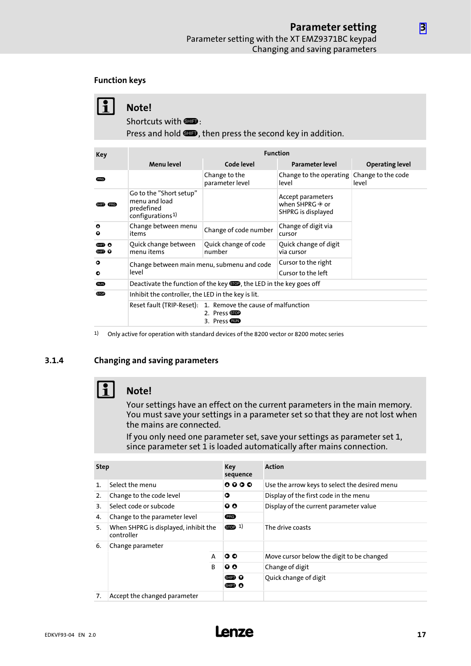#### <span id="page-16-0"></span>Function keys

| $\bf{1}$ | Note!<br>Shortcuts with $\square$ :<br>Press and hold <b>SID</b> , then press the second key in addition. |                                                |                                                                        |                                 |  |
|----------|-----------------------------------------------------------------------------------------------------------|------------------------------------------------|------------------------------------------------------------------------|---------------------------------|--|
| Key      | <b>Function</b>                                                                                           |                                                |                                                                        |                                 |  |
| (PRG)    | Menu level                                                                                                | Code level<br>Change to the<br>parameter level | Parameter level<br>Change to the operating Change to the code<br>level | <b>Operating level</b><br>level |  |

| SHIFT (PRG)            | Go to the "Short setup"<br>menu and load<br>predefined<br>configurations <sup>1)</sup> |                                                                                                | Accept parameters<br>when SHPRG $\rightarrow \infty$ or<br>SHPRG is displayed |  |
|------------------------|----------------------------------------------------------------------------------------|------------------------------------------------------------------------------------------------|-------------------------------------------------------------------------------|--|
| $\bullet$<br>$\bullet$ | Change between menu<br>items                                                           | Change of code number                                                                          | Change of digit via<br>cursor                                                 |  |
| ▥◑<br>go o             | Quick change between<br>menu items                                                     | Quick change of code<br>number                                                                 | Quick change of digit<br>via cursor                                           |  |
| $\circ$<br>$\bullet$   | Change between main menu, submenu and code<br>level                                    |                                                                                                | Cursor to the right<br>Cursor to the left                                     |  |
| <b>RUIN</b>            | Deactivate the function of the key <b>SOD</b> , the LED in the key goes off            |                                                                                                |                                                                               |  |
| <b>STOP</b>            | Inhibit the controller, the LED in the key is lit.                                     |                                                                                                |                                                                               |  |
|                        |                                                                                        | Reset fault (TRIP-Reset): 1. Remove the cause of malfunction<br>2. Press STOP<br>3. Press GUND |                                                                               |  |

1) Only active for operation with standard devices of the 8200 vector or 8200 motec series

#### 3.1.4 Changing and saving parameters



## $\begin{bmatrix} 1 \\ 1 \end{bmatrix}$  Note!

Your settings have an effect on the current parameters in the main memory. You must save your settings in a parameter set so that they are not lost when the mains are connected.

If you only need one parameter set, save your settings as parameter set 1, since parameter set 1 is loaded automatically after mains connection.

| <b>Step</b>    |                                                    | Key<br>sequence | <b>Action</b>                                    |                                               |  |
|----------------|----------------------------------------------------|-----------------|--------------------------------------------------|-----------------------------------------------|--|
| $\mathbf{1}$ . | Select the menu                                    |                 | $\begin{array}{ccc}\n0 & 0 & 0 & 0\n\end{array}$ | Use the arrow keys to select the desired menu |  |
| 2.             | Change to the code level                           |                 | O                                                | Display of the first code in the menu         |  |
| 3.             | Select code or subcode                             |                 | $\bm{o} \bm{o}$                                  | Display of the current parameter value        |  |
| 4.             | Change to the parameter level                      |                 | (PRG)                                            |                                               |  |
| 5.             | When SHPRG is displayed, inhibit the<br>controller |                 | STOP <sub>1</sub>                                | The drive coasts                              |  |
| 6.             | Change parameter                                   |                 |                                                  |                                               |  |
|                |                                                    | A               | $\circ \circ$                                    | Move cursor below the digit to be changed     |  |
|                |                                                    | <sub>B</sub>    | $\bm{o} \bm{o}$                                  | Change of digit                               |  |
|                |                                                    |                 | ghid o<br>gid o                                  | Quick change of digit                         |  |
| 7.             | Accept the changed parameter                       |                 |                                                  |                                               |  |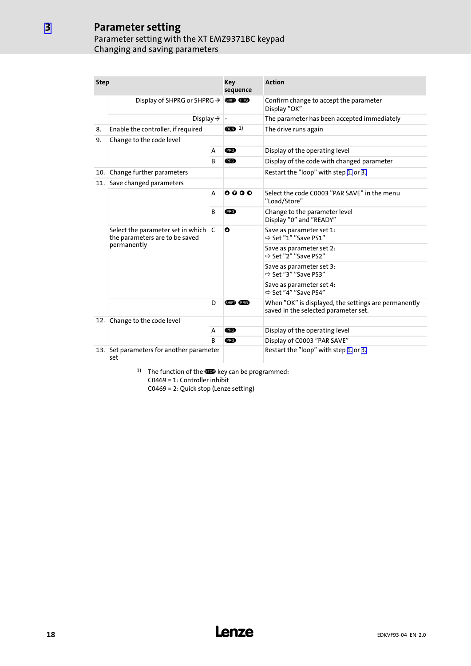### Parameter setting Parameter setting with the XT EMZ9371BC keypad Changing and saving parameters

| <b>Step</b> |                                                                       |              | Key<br>sequence | <b>Action</b>                                                                                |  |  |
|-------------|-----------------------------------------------------------------------|--------------|-----------------|----------------------------------------------------------------------------------------------|--|--|
|             | Display of SHPRG or SHPRG $\triangleq$                                |              | SHIFT (PRG)     | Confirm change to accept the parameter<br>Display "OK"                                       |  |  |
|             | Display $\hat{\mathcal{P}}$                                           |              | $\frac{1}{2}$   | The parameter has been accepted immediately                                                  |  |  |
| 8.          | Enable the controller, if required                                    |              | $RUN$ 1)        | The drive runs again                                                                         |  |  |
| 9.          | Change to the code level                                              |              |                 |                                                                                              |  |  |
|             | A                                                                     |              | (PRG)           | Display of the operating level                                                               |  |  |
|             |                                                                       | B            | (PRG)           | Display of the code with changed parameter                                                   |  |  |
| 10.1        | Change further parameters                                             |              |                 | Restart the "loop" with step 1. or 3.                                                        |  |  |
| 11.         | Save changed parameters                                               |              |                 |                                                                                              |  |  |
|             |                                                                       |              | $0000$          | Select the code C0003 "PAR SAVE" in the menu<br>"Load/Store"                                 |  |  |
|             |                                                                       | B            | (PRG)           | Change to the parameter level<br>Display "0" and "READY"                                     |  |  |
|             | Select the parameter set in which C<br>the parameters are to be saved |              | O               | Save as parameter set 1:<br>$\Rightarrow$ Set "1" "Save PS1"                                 |  |  |
| permanently |                                                                       |              |                 | Save as parameter set 2:<br>⇒ Set "2" "Save PS2"                                             |  |  |
|             |                                                                       |              |                 | Save as parameter set 3:<br>⇒ Set "3" "Save PS3"                                             |  |  |
|             |                                                                       |              |                 | Save as parameter set 4:<br>⇒ Set "4" "Save PS4"                                             |  |  |
|             | D                                                                     |              | SHIFT PRG       | When "OK" is displayed, the settings are permanently<br>saved in the selected parameter set. |  |  |
| 12.1        | Change to the code level                                              |              |                 |                                                                                              |  |  |
|             | A                                                                     |              | <b>PRG</b>      | Display of the operating level                                                               |  |  |
|             |                                                                       | <sub>R</sub> | (PRG)           | Display of C0003 "PAR SAVE"                                                                  |  |  |
|             | Set parameters for another parameter<br>13.1<br>set                   |              |                 | Restart the "loop" with step 1. or 3.                                                        |  |  |

<sup>1)</sup> The function of the  $\blacksquare$  key can be programmed: C0469 = 1: Controller inhibit

C0469 = 2: Quick stop (Lenze setting)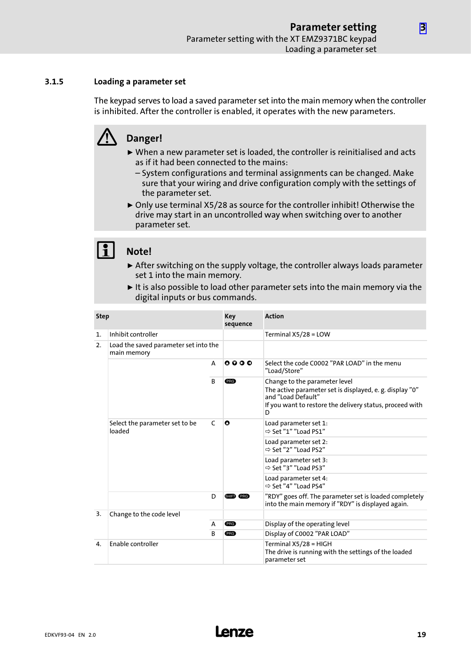#### <span id="page-18-0"></span>3.1.5 Loading a parameter set

The keypad serves to load a saved parameter set into the main memory when the controller is inhibited. After the controller is enabled, it operates with the new parameters.

# Danger!

- $\triangleright$  When a new parameter set is loaded, the controller is reinitialised and acts as if it had been connected to the mains:
	- System configurations and terminal assignments can be changed. Make sure that your wiring and drive configuration comply with the settings of the parameter set.
- ▶ Only use terminal X5/28 as source for the controller inhibit! Otherwise the drive may start in an uncontrolled way when switching over to another parameter set.

### Note!

- $\triangleright$  After switching on the supply voltage, the controller always loads parameter set 1 into the main memory.
- $\blacktriangleright$  It is also possible to load other parameter sets into the main memory via the digital inputs or bus commands.

| <b>Step</b>                                                |                                               | Key<br>sequence | <b>Action</b>                                                |                                                                                                                                                                                  |
|------------------------------------------------------------|-----------------------------------------------|-----------------|--------------------------------------------------------------|----------------------------------------------------------------------------------------------------------------------------------------------------------------------------------|
| 1.                                                         | Inhibit controller                            |                 |                                                              | Terminal $X5/28 = LOW$                                                                                                                                                           |
| Load the saved parameter set into the<br>2.<br>main memory |                                               |                 |                                                              |                                                                                                                                                                                  |
| A                                                          |                                               | $0000$          | Select the code C0002 "PAR LOAD" in the menu<br>"Load/Store" |                                                                                                                                                                                  |
|                                                            |                                               | <sub>B</sub>    | (PRG)                                                        | Change to the parameter level<br>The active parameter set is displayed, e. g. display "0"<br>and "Load Default"<br>If you want to restore the delivery status, proceed with<br>D |
|                                                            | Select the parameter set to be<br>C<br>loaded |                 | O                                                            | Load parameter set 1:<br>$\Rightarrow$ Set "1" "Load PS1"                                                                                                                        |
|                                                            |                                               |                 |                                                              | Load parameter set 2:<br>⇒ Set "2" "Load PS2"                                                                                                                                    |
|                                                            |                                               |                 |                                                              | Load parameter set 3:<br>$\Rightarrow$ Set "3" "Load PS3"                                                                                                                        |
|                                                            |                                               |                 |                                                              | Load parameter set 4:<br>$\Rightarrow$ Set "4" "Load PS4"                                                                                                                        |
|                                                            |                                               | D               | SHIFT PRG                                                    | "RDY" goes off. The parameter set is loaded completely<br>into the main memory if "RDY" is displayed again.                                                                      |
| 3.<br>Change to the code level                             |                                               |                 |                                                              |                                                                                                                                                                                  |
|                                                            |                                               | A               | (PRG)                                                        | Display of the operating level                                                                                                                                                   |
|                                                            |                                               | <sub>B</sub>    | (PRG)                                                        | Display of C0002 "PAR LOAD"                                                                                                                                                      |
| $\mathbf{4}$                                               | <b>Enable controller</b>                      |                 |                                                              | Terminal X5/28 = HIGH                                                                                                                                                            |
|                                                            |                                               |                 |                                                              | The drive is running with the settings of the loaded<br>parameter set                                                                                                            |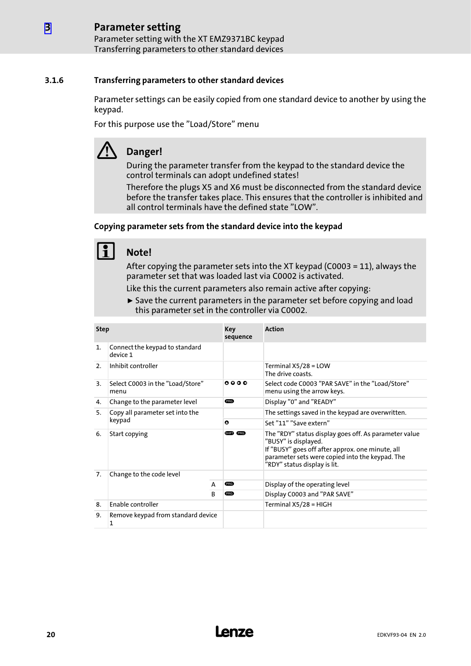#### <span id="page-19-0"></span>Parameter setting [3](#page-13-0)

Parameter setting with the XT EMZ9371BC keypad Transferring parameters to other standard devices

#### 3.1.6 Transferring parameters to other standard devices

Parameter settings can be easily copied from one standard device to another by using the keypad.

For this purpose use the "Load/Store" menu

# Danger!

During the parameter transfer from the keypad to the standard device the control terminals can adopt undefined states!

Therefore the plugs X5 and X6 must be disconnected from the standard device before the transfer takes place. This ensures that the controller is inhibited and all control terminals have the defined state "LOW".

#### Copying parameter sets from the standard device into the keypad

## Note!

After copying the parameter sets into the XT keypad (C0003 = 11), always the parameter set that was loaded last via C0002 is activated.

Like this the current parameters also remain active after copying:

 $\triangleright$  Save the current parameters in the parameter set before copying and load this parameter set in the controller via C0002.

| <b>Step</b>                           |                                            | Key<br>sequence | <b>Action</b> |                                                                                                                                                                                                                      |  |  |
|---------------------------------------|--------------------------------------------|-----------------|---------------|----------------------------------------------------------------------------------------------------------------------------------------------------------------------------------------------------------------------|--|--|
| $\mathbf{1}$ .                        | Connect the keypad to standard<br>device 1 |                 |               |                                                                                                                                                                                                                      |  |  |
| 2.                                    | Inhibit controller                         |                 |               | Terminal $X5/28 = LOW$<br>The drive coasts.                                                                                                                                                                          |  |  |
| 3.                                    | Select C0003 in the "Load/Store"<br>menu   |                 | 0000          | Select code C0003 "PAR SAVE" in the "Load/Store"<br>menu using the arrow keys.                                                                                                                                       |  |  |
| 4.                                    | Change to the parameter level              |                 | <b>ERG</b>    | Display "0" and "READY"                                                                                                                                                                                              |  |  |
| Copy all parameter set into the<br>5. |                                            |                 |               | The settings saved in the keypad are overwritten.                                                                                                                                                                    |  |  |
|                                       | keypad                                     |                 | $\bullet$     | Set "11" "Save extern"                                                                                                                                                                                               |  |  |
| 6.                                    | Start copying                              |                 | SHIFT (PRG)   | The "RDY" status display goes off. As parameter value<br>"BUSY" is displayed.<br>If "BUSY" goes off after approx. one minute, all<br>parameter sets were copied into the keypad. The<br>"RDY" status display is lit. |  |  |
| 7.                                    | Change to the code level                   |                 |               |                                                                                                                                                                                                                      |  |  |
|                                       |                                            | A               | <b>ERG</b>    | Display of the operating level                                                                                                                                                                                       |  |  |
|                                       | <sub>B</sub>                               |                 | <b>ERG</b>    | Display C0003 and "PAR SAVE"                                                                                                                                                                                         |  |  |
| 8.                                    | Enable controller                          |                 |               | Terminal $X5/28 = HIGH$                                                                                                                                                                                              |  |  |
| 9.                                    | Remove keypad from standard device<br>1    |                 |               |                                                                                                                                                                                                                      |  |  |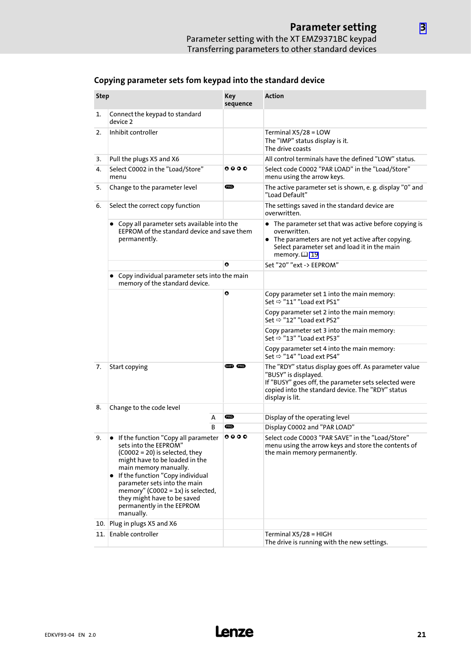| <b>Step</b>                                                                                                            |                                                                                                                                                                                                                                                                                                                                                 | <b>Key</b><br>sequence | <b>Action</b>                                                                                                                                                                                                 |  |  |
|------------------------------------------------------------------------------------------------------------------------|-------------------------------------------------------------------------------------------------------------------------------------------------------------------------------------------------------------------------------------------------------------------------------------------------------------------------------------------------|------------------------|---------------------------------------------------------------------------------------------------------------------------------------------------------------------------------------------------------------|--|--|
| 1.                                                                                                                     | Connect the keypad to standard<br>device 2                                                                                                                                                                                                                                                                                                      |                        |                                                                                                                                                                                                               |  |  |
| 2.                                                                                                                     | Inhibit controller                                                                                                                                                                                                                                                                                                                              |                        | Terminal X5/28 = LOW<br>The "IMP" status display is it.<br>The drive coasts                                                                                                                                   |  |  |
| 3.                                                                                                                     | Pull the plugs X5 and X6                                                                                                                                                                                                                                                                                                                        |                        | All control terminals have the defined "LOW" status.                                                                                                                                                          |  |  |
| 4.                                                                                                                     | Select C0002 in the "Load/Store"<br>menu                                                                                                                                                                                                                                                                                                        | 0000                   | Select code C0002 "PAR LOAD" in the "Load/Store"<br>menu using the arrow keys.                                                                                                                                |  |  |
| 5.                                                                                                                     | Change to the parameter level                                                                                                                                                                                                                                                                                                                   | <b>PRG</b>             | The active parameter set is shown, e. g. display "0" and<br>"Load Default"                                                                                                                                    |  |  |
| 6.                                                                                                                     | Select the correct copy function                                                                                                                                                                                                                                                                                                                |                        | The settings saved in the standard device are<br>overwritten.                                                                                                                                                 |  |  |
| Copy all parameter sets available into the<br>$\bullet$<br>EEPROM of the standard device and save them<br>permanently. |                                                                                                                                                                                                                                                                                                                                                 |                        | • The parameter set that was active before copying is<br>overwritten.<br>• The parameters are not yet active after copying.<br>Select parameter set and load it in the main<br>memory. $\Box$ 19              |  |  |
|                                                                                                                        |                                                                                                                                                                                                                                                                                                                                                 | $\bullet$              | Set "20" "ext -> EEPROM"                                                                                                                                                                                      |  |  |
|                                                                                                                        | Copy individual parameter sets into the main<br>memory of the standard device.                                                                                                                                                                                                                                                                  |                        |                                                                                                                                                                                                               |  |  |
|                                                                                                                        |                                                                                                                                                                                                                                                                                                                                                 | $\bullet$              | Copy parameter set 1 into the main memory:<br>Set $\Rightarrow$ "11" "Load ext PS1"                                                                                                                           |  |  |
|                                                                                                                        |                                                                                                                                                                                                                                                                                                                                                 |                        | Copy parameter set 2 into the main memory:<br>Set $\Rightarrow$ "12" "Load ext PS2"                                                                                                                           |  |  |
|                                                                                                                        |                                                                                                                                                                                                                                                                                                                                                 |                        | Copy parameter set 3 into the main memory:<br>Set ⇒ "13" "Load ext PS3"                                                                                                                                       |  |  |
|                                                                                                                        |                                                                                                                                                                                                                                                                                                                                                 |                        | Copy parameter set 4 into the main memory:<br>Set $\Rightarrow$ "14" "Load ext PS4"                                                                                                                           |  |  |
| 7.                                                                                                                     | SHIFT PRG<br>Start copying                                                                                                                                                                                                                                                                                                                      |                        | The "RDY" status display goes off. As parameter value<br>"BUSY" is displayed.<br>If "BUSY" goes off, the parameter sets selected were<br>copied into the standard device. The "RDY" status<br>display is lit. |  |  |
| 8.                                                                                                                     | Change to the code level                                                                                                                                                                                                                                                                                                                        |                        |                                                                                                                                                                                                               |  |  |
|                                                                                                                        | А                                                                                                                                                                                                                                                                                                                                               | PRG                    | Display of the operating level                                                                                                                                                                                |  |  |
|                                                                                                                        | B                                                                                                                                                                                                                                                                                                                                               | <b>PRG</b>             | Display C0002 and "PAR LOAD"                                                                                                                                                                                  |  |  |
| 9.                                                                                                                     | If the function "Copy all parameter<br>sets into the EEPROM"<br>$(C0002 = 20)$ is selected, they<br>might have to be loaded in the<br>main memory manually.<br>• If the function "Copy individual<br>parameter sets into the main<br>memory" (C0002 = 1x) is selected,<br>they might have to be saved<br>permanently in the EEPROM<br>manually. | 0000                   | Select code C0003 "PAR SAVE" in the "Load/Store"<br>menu using the arrow keys and store the contents of<br>the main memory permanently.                                                                       |  |  |
| 10.                                                                                                                    | Plug in plugs X5 and X6                                                                                                                                                                                                                                                                                                                         |                        |                                                                                                                                                                                                               |  |  |
| 11. I                                                                                                                  | Enable controller                                                                                                                                                                                                                                                                                                                               |                        | Terminal X5/28 = HIGH<br>The drive is running with the new settings.                                                                                                                                          |  |  |

## Copying parameter sets fom keypad into the standard device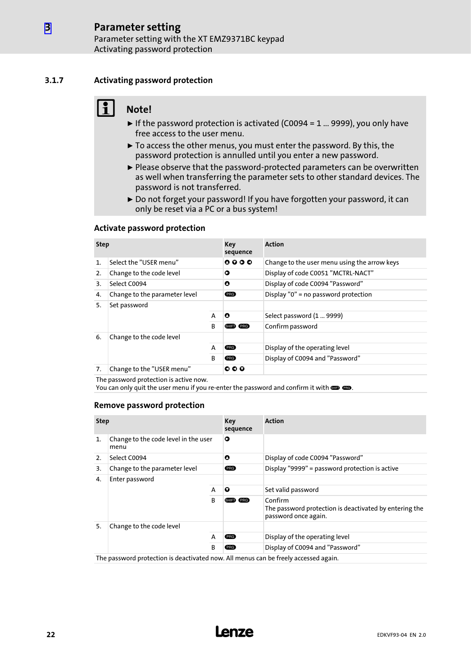#### 3.1.7 Activating password protection

<span id="page-21-0"></span>[3](#page-13-0)

## Note!

- $\blacktriangleright$  If the password protection is activated (C0094 = 1 ... 9999), you only have free access to the user menu.
- $\triangleright$  To access the other menus, you must enter the password. By this, the password protection is annulled until you enter a new password.
- ► Please observe that the password-protected parameters can be overwritten as well when transferring the parameter sets to other standard devices. The password is not transferred.
- ▶ Do not forget your password! If you have forgotten your password, it can only be reset via a PC or a bus system!

#### Activate password protection

| <b>Step</b>    |                               | Key<br>sequence | <b>Action</b>                    |                                              |  |
|----------------|-------------------------------|-----------------|----------------------------------|----------------------------------------------|--|
| $\mathbf{1}$ . | Select the "USER menu"        |                 | $0000$                           | Change to the user menu using the arrow keys |  |
| 2.             | Change to the code level      |                 | ο                                | Display of code C0051 "MCTRL-NACT"           |  |
| 3.             | Select C0094                  |                 | O                                | Display of code C0094 "Password"             |  |
| 4.             | Change to the parameter level |                 | <b>PRG</b>                       | Display "0" = no password protection         |  |
| 5.             | Set password                  |                 |                                  |                                              |  |
|                |                               |                 | O                                | Select password (1  9999)                    |  |
|                |                               | <sub>B</sub>    | <b>SHIFT</b><br>PRG <sup>1</sup> | Confirm password                             |  |
| 6.             | Change to the code level      |                 |                                  |                                              |  |
|                |                               | A               | (PRG)                            | Display of the operating level               |  |
|                |                               | B               | (PRG)                            | Display of C0094 and "Password"              |  |
| 7.             | Change to the "USER menu"     |                 | 000                              |                                              |  |

The password protection is active now.

You can only quit the user menu if you re-enter the password and confirm it with  $\blacksquare$   $\blacksquare$ .

#### Remove password protection

| <b>Step</b>                                        |                                                                                     | Key<br>sequence | <b>Action</b>                    |                                                                                           |  |
|----------------------------------------------------|-------------------------------------------------------------------------------------|-----------------|----------------------------------|-------------------------------------------------------------------------------------------|--|
| Change to the code level in the user<br>1.<br>menu |                                                                                     | O               |                                  |                                                                                           |  |
| Select C0094<br>2.                                 |                                                                                     | O               | Display of code C0094 "Password" |                                                                                           |  |
| 3.                                                 | Change to the parameter level                                                       |                 | <b>PRG</b>                       | Display "9999" = password protection is active                                            |  |
| 4.<br>Enter password                               |                                                                                     |                 |                                  |                                                                                           |  |
|                                                    |                                                                                     |                 | $\mathbf o$                      | Set valid password                                                                        |  |
|                                                    |                                                                                     | B               | (PRG)<br><b>SHIFT</b>            | Confirm<br>The password protection is deactivated by entering the<br>password once again. |  |
| 5.                                                 | Change to the code level                                                            |                 |                                  |                                                                                           |  |
|                                                    |                                                                                     | A               | (PRG)                            | Display of the operating level                                                            |  |
| B                                                  |                                                                                     |                 | (PRG)                            | Display of C0094 and "Password"                                                           |  |
|                                                    | The password protection is deactivated now. All menus can be freely accessed again. |                 |                                  |                                                                                           |  |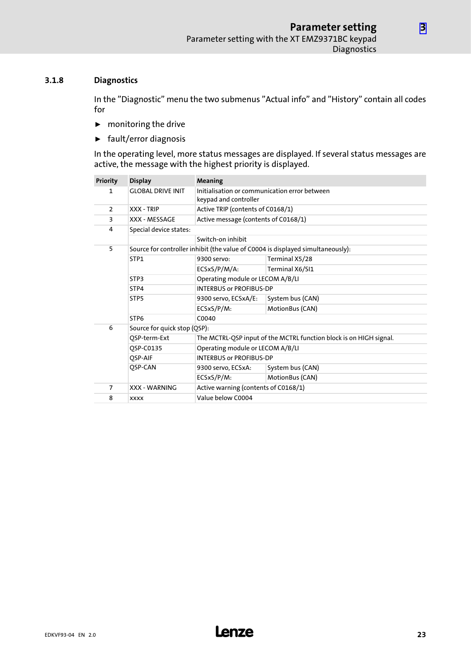#### <span id="page-22-0"></span>3.1.8 Diagnostics

In the "Diagnostic" menu the two submenus "Actual info" and "History" contain all codes for

- $\blacktriangleright$  monitoring the drive
- $\blacktriangleright$  fault/error diagnosis

In the operating level, more status messages are displayed. If several status messages are active, the message with the highest priority is displayed.

| <b>Priority</b> | <b>Display</b>                                                                  | Meaning                                                                |                                                                    |  |  |  |  |  |  |  |
|-----------------|---------------------------------------------------------------------------------|------------------------------------------------------------------------|--------------------------------------------------------------------|--|--|--|--|--|--|--|
| 1               | <b>GLOBAL DRIVE INIT</b>                                                        | Initialisation or communication error between<br>keypad and controller |                                                                    |  |  |  |  |  |  |  |
| $\overline{2}$  | <b>XXX - TRIP</b>                                                               | Active TRIP (contents of C0168/1)                                      |                                                                    |  |  |  |  |  |  |  |
| 3               | XXX - MESSAGE                                                                   |                                                                        | Active message (contents of C0168/1)                               |  |  |  |  |  |  |  |
| 4               | Special device states:                                                          |                                                                        |                                                                    |  |  |  |  |  |  |  |
|                 |                                                                                 | Switch-on inhibit                                                      |                                                                    |  |  |  |  |  |  |  |
| 5               | Source for controller inhibit (the value of C0004 is displayed simultaneously): |                                                                        |                                                                    |  |  |  |  |  |  |  |
|                 | STP1                                                                            | 9300 servo:                                                            | Terminal X5/28                                                     |  |  |  |  |  |  |  |
|                 |                                                                                 | ECSxS/P/M/A:                                                           | Terminal X6/SI1                                                    |  |  |  |  |  |  |  |
|                 | STP3                                                                            | Operating module or LECOM A/B/LI                                       |                                                                    |  |  |  |  |  |  |  |
|                 | STP4                                                                            | <b>INTERBUS or PROFIBUS-DP</b>                                         |                                                                    |  |  |  |  |  |  |  |
|                 | STP <sub>5</sub>                                                                | 9300 servo, ECSxA/E:                                                   | System bus (CAN)                                                   |  |  |  |  |  |  |  |
|                 |                                                                                 | ECSxS/P/M:                                                             | MotionBus (CAN)                                                    |  |  |  |  |  |  |  |
|                 | STP <sub>6</sub>                                                                | C0040                                                                  |                                                                    |  |  |  |  |  |  |  |
| 6               | Source for quick stop (QSP):                                                    |                                                                        |                                                                    |  |  |  |  |  |  |  |
|                 | QSP-term-Ext                                                                    |                                                                        | The MCTRL-QSP input of the MCTRL function block is on HIGH signal. |  |  |  |  |  |  |  |
|                 | OSP-C0135                                                                       | Operating module or LECOM A/B/LI                                       |                                                                    |  |  |  |  |  |  |  |
|                 | OSP-AIF                                                                         | <b>INTERBUS or PROFIBUS-DP</b>                                         |                                                                    |  |  |  |  |  |  |  |
|                 | QSP-CAN                                                                         | 9300 servo, ECSxA:                                                     | System bus (CAN)                                                   |  |  |  |  |  |  |  |
|                 |                                                                                 | ECSxS/P/M:                                                             | MotionBus (CAN)                                                    |  |  |  |  |  |  |  |
| $\overline{7}$  | <b>XXX - WARNING</b>                                                            | Active warning (contents of C0168/1)                                   |                                                                    |  |  |  |  |  |  |  |
| 8               | <b>XXXX</b>                                                                     | Value below C0004                                                      |                                                                    |  |  |  |  |  |  |  |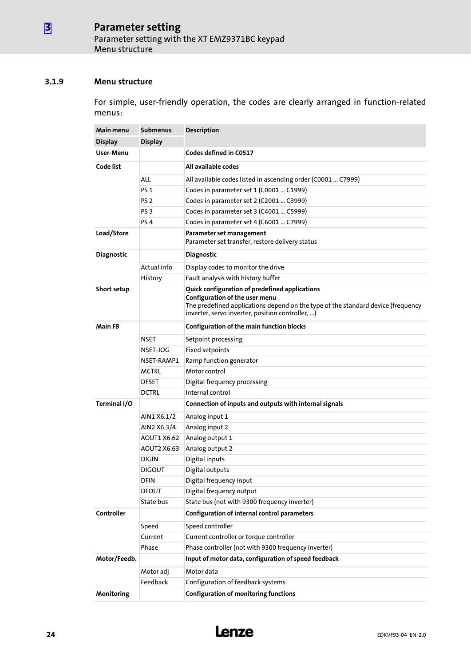#### <span id="page-23-0"></span>3.1.9 Menu structure

For simple, user−friendly operation, the codes are clearly arranged in function−related menus:

| Main menu         | <b>Submenus</b> | Description                                                                                                                                                                                                              |  |  |  |  |  |  |
|-------------------|-----------------|--------------------------------------------------------------------------------------------------------------------------------------------------------------------------------------------------------------------------|--|--|--|--|--|--|
| <b>Display</b>    | <b>Display</b>  |                                                                                                                                                                                                                          |  |  |  |  |  |  |
| User-Menu         |                 | Codes defined in C0517                                                                                                                                                                                                   |  |  |  |  |  |  |
| Code list         |                 | All available codes                                                                                                                                                                                                      |  |  |  |  |  |  |
|                   | ALL             | All available codes listed in ascending order (C0001  C7999)                                                                                                                                                             |  |  |  |  |  |  |
|                   | <b>PS 1</b>     | Codes in parameter set 1 (C0001  C1999)                                                                                                                                                                                  |  |  |  |  |  |  |
|                   | PS <sub>2</sub> | Codes in parameter set 2 (C2001  C3999)                                                                                                                                                                                  |  |  |  |  |  |  |
|                   | PS <sub>3</sub> | Codes in parameter set 3 (C4001  C5999)                                                                                                                                                                                  |  |  |  |  |  |  |
|                   | PS <sub>4</sub> | Codes in parameter set 4 (C6001  C7999)                                                                                                                                                                                  |  |  |  |  |  |  |
| Load/Store        |                 | Parameter set management<br>Parameter set transfer, restore delivery status                                                                                                                                              |  |  |  |  |  |  |
| <b>Diagnostic</b> |                 | <b>Diagnostic</b>                                                                                                                                                                                                        |  |  |  |  |  |  |
|                   | Actual info     | Display codes to monitor the drive                                                                                                                                                                                       |  |  |  |  |  |  |
|                   | History         | Fault analysis with history buffer                                                                                                                                                                                       |  |  |  |  |  |  |
| Short setup       |                 | Quick configuration of predefined applications<br>Configuration of the user menu<br>The predefined applications depend on the type of the standard device (frequency<br>inverter, servo inverter, position controller, ) |  |  |  |  |  |  |
| <b>Main FB</b>    |                 | Configuration of the main function blocks                                                                                                                                                                                |  |  |  |  |  |  |
|                   | NSET            | Setpoint processing                                                                                                                                                                                                      |  |  |  |  |  |  |
|                   | NSET-JOG        | Fixed setpoints                                                                                                                                                                                                          |  |  |  |  |  |  |
|                   | NSET-RAMP1      | Ramp function generator                                                                                                                                                                                                  |  |  |  |  |  |  |
|                   | <b>MCTRL</b>    | Motor control                                                                                                                                                                                                            |  |  |  |  |  |  |
|                   | <b>DFSET</b>    | Digital frequency processing                                                                                                                                                                                             |  |  |  |  |  |  |
|                   | <b>DCTRL</b>    | Internal control                                                                                                                                                                                                         |  |  |  |  |  |  |
| Terminal I/O      |                 | Connection of inputs and outputs with internal signals                                                                                                                                                                   |  |  |  |  |  |  |
|                   | AIN1 X6.1/2     | Analog input 1                                                                                                                                                                                                           |  |  |  |  |  |  |
|                   | AIN2 X6.3/4     | Analog input 2                                                                                                                                                                                                           |  |  |  |  |  |  |
|                   | AOUT1 X6.62     | Analog output 1                                                                                                                                                                                                          |  |  |  |  |  |  |
|                   | AOUT2 X6.63     | Analog output 2                                                                                                                                                                                                          |  |  |  |  |  |  |
|                   | <b>DIGIN</b>    | Digital inputs                                                                                                                                                                                                           |  |  |  |  |  |  |
|                   | <b>DIGOUT</b>   | Digital outputs                                                                                                                                                                                                          |  |  |  |  |  |  |
|                   | <b>DFIN</b>     | Digital frequency input                                                                                                                                                                                                  |  |  |  |  |  |  |
|                   | <b>DFOUT</b>    | Digital frequency output                                                                                                                                                                                                 |  |  |  |  |  |  |
|                   | State bus       | State bus (not with 9300 frequency inverter)                                                                                                                                                                             |  |  |  |  |  |  |
| Controller        |                 | Configuration of internal control parameters                                                                                                                                                                             |  |  |  |  |  |  |
|                   | Speed           | Speed controller                                                                                                                                                                                                         |  |  |  |  |  |  |
|                   | Current         | Current controller or torque controller                                                                                                                                                                                  |  |  |  |  |  |  |
|                   | Phase           | Phase controller (not with 9300 frequency inverter)                                                                                                                                                                      |  |  |  |  |  |  |
| Motor/Feedb.      |                 | Input of motor data, configuration of speed feedback                                                                                                                                                                     |  |  |  |  |  |  |
|                   | Motor adj       | Motor data                                                                                                                                                                                                               |  |  |  |  |  |  |
|                   | Feedback        | Configuration of feedback systems                                                                                                                                                                                        |  |  |  |  |  |  |
| Monitoring        |                 | <b>Configuration of monitoring functions</b>                                                                                                                                                                             |  |  |  |  |  |  |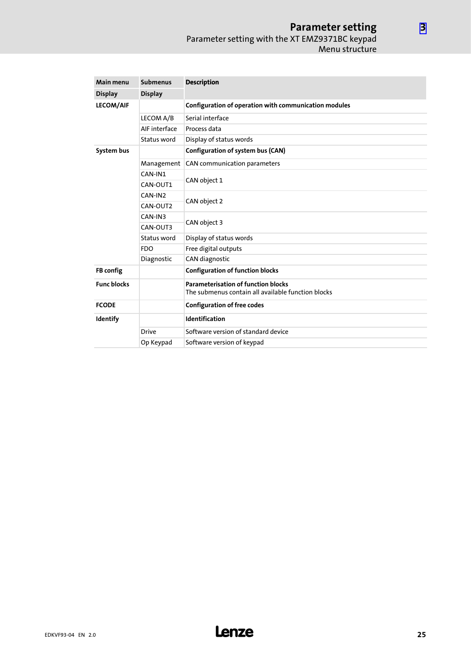#### Parameter setting Parameter setting with the XT EMZ9371BC keypad Menu structure

| Main menu          | <b>Submenus</b> | <b>Description</b>                                                                               |  |  |  |  |
|--------------------|-----------------|--------------------------------------------------------------------------------------------------|--|--|--|--|
| <b>Display</b>     | <b>Display</b>  |                                                                                                  |  |  |  |  |
| <b>LECOM/AIF</b>   |                 | Configuration of operation with communication modules                                            |  |  |  |  |
|                    | LECOM A/B       | Serial interface                                                                                 |  |  |  |  |
|                    | AIF interface   | Process data                                                                                     |  |  |  |  |
|                    | Status word     | Display of status words                                                                          |  |  |  |  |
| System bus         |                 | Configuration of system bus (CAN)                                                                |  |  |  |  |
|                    | Management      | CAN communication parameters                                                                     |  |  |  |  |
|                    | CAN-IN1         |                                                                                                  |  |  |  |  |
|                    | CAN-OUT1        | CAN object 1                                                                                     |  |  |  |  |
|                    | CAN-IN2         |                                                                                                  |  |  |  |  |
|                    | CAN-OUT2        | CAN object 2                                                                                     |  |  |  |  |
|                    | CAN-IN3         |                                                                                                  |  |  |  |  |
|                    | CAN-OUT3        | CAN object 3                                                                                     |  |  |  |  |
|                    | Status word     | Display of status words                                                                          |  |  |  |  |
|                    | <b>FDO</b>      | Free digital outputs                                                                             |  |  |  |  |
|                    | Diagnostic      | CAN diagnostic                                                                                   |  |  |  |  |
| FB config          |                 | <b>Configuration of function blocks</b>                                                          |  |  |  |  |
| <b>Func blocks</b> |                 | <b>Parameterisation of function blocks</b><br>The submenus contain all available function blocks |  |  |  |  |
| <b>FCODE</b>       |                 | <b>Configuration of free codes</b>                                                               |  |  |  |  |
| Identify           |                 | Identification                                                                                   |  |  |  |  |
|                    | <b>Drive</b>    | Software version of standard device                                                              |  |  |  |  |
|                    | Op Keypad       | Software version of keypad                                                                       |  |  |  |  |

[3](#page-13-0)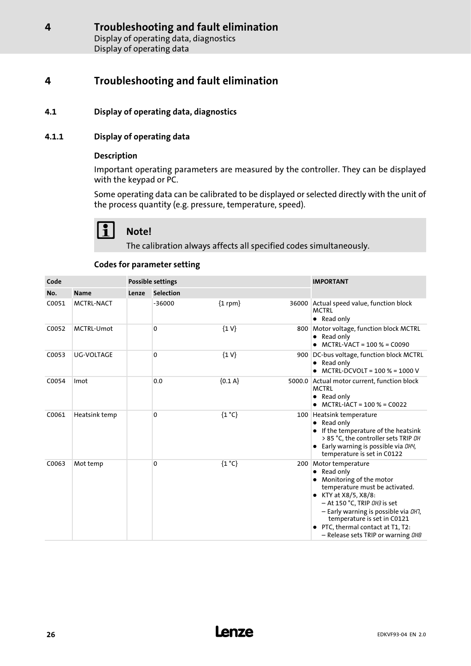#### <span id="page-25-0"></span>4.1 Display of operating data, diagnostics

#### 4.1.1 Display of operating data

#### Description

Important operating parameters are measured by the controller. They can be displayed with the keypad or PC.

Some operating data can be calibrated to be displayed or selected directly with the unit of the process quantity (e.g. pressure, temperature, speed).

# Note!

The calibration always affects all specified codes simultaneously.

#### Codes for parameter setting

| Code  |                   |       | <b>Possible settings</b> |                | <b>IMPORTANT</b> |                                                                                                                                                                                                                                                                                                                         |
|-------|-------------------|-------|--------------------------|----------------|------------------|-------------------------------------------------------------------------------------------------------------------------------------------------------------------------------------------------------------------------------------------------------------------------------------------------------------------------|
| No.   | <b>Name</b>       | Lenze | <b>Selection</b>         |                |                  |                                                                                                                                                                                                                                                                                                                         |
| C0051 | <b>MCTRL-NACT</b> |       | $-36000$                 | ${1$ rpm $}$   |                  | 36000 Actual speed value, function block<br><b>MCTRL</b><br>• Read only                                                                                                                                                                                                                                                 |
| C0052 | MCTRL-Umot        |       | $\Omega$                 | $\{1 V\}$      |                  | 800 Motor voltage, function block MCTRL<br>• Read only<br>• MCTRL-VACT = $100\%$ = C0090                                                                                                                                                                                                                                |
| C0053 | <b>UG-VOLTAGE</b> |       | 0                        | $\{1 V\}$      |                  | 900 DC-bus voltage, function block MCTRL<br>Read only<br>MCTRL-DCVOLT = 100 % = 1000 V                                                                                                                                                                                                                                  |
| C0054 | Imot              |       | 0.0                      | ${0.1 A}$      |                  | 5000.0 Actual motor current, function block<br><b>MCTRL</b><br>Read only<br>٠<br>$MCTRL-IACT = 100 % = CO022$                                                                                                                                                                                                           |
| C0061 | Heatsink temp     |       | $\Omega$                 | ${1^{\circ}C}$ |                  | 100 Heatsink temperature<br>• Read only<br>If the temperature of the heatsink<br>> 85 °C, the controller sets TRIP OH<br>Early warning is possible via DHY,<br>$\bullet$<br>temperature is set in C0122                                                                                                                 |
| C0063 | Mot temp          |       | 0                        | ${1^{\circ}C}$ |                  | 200 Motor temperature<br>Read only<br>٠<br>Monitoring of the motor<br>temperature must be activated.<br>KTY at X8/5, X8/8:<br>$\bullet$<br>- At 150 °C, TRIP 0H3 is set<br>- Early warning is possible via DH7,<br>temperature is set in C0121<br>PTC, thermal contact at T1, T2:<br>- Release sets TRIP or warning OHB |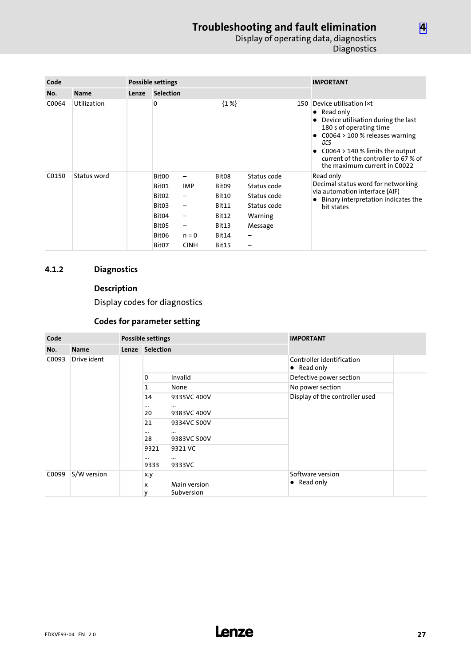### Troubleshooting and fault elimination Display of operating data, diagnostics **Diagnostics**

<span id="page-26-0"></span>

| Code  |             |       | Possible settings                                                                                                                |                                                               |                                                                                                     | <b>IMPORTANT</b>                                                                    |     |                                                                                                                                                                                                                                                                        |
|-------|-------------|-------|----------------------------------------------------------------------------------------------------------------------------------|---------------------------------------------------------------|-----------------------------------------------------------------------------------------------------|-------------------------------------------------------------------------------------|-----|------------------------------------------------------------------------------------------------------------------------------------------------------------------------------------------------------------------------------------------------------------------------|
| No.   | <b>Name</b> | Lenze | <b>Selection</b>                                                                                                                 |                                                               |                                                                                                     |                                                                                     |     |                                                                                                                                                                                                                                                                        |
| C0064 | Utilization |       | 0                                                                                                                                |                                                               | ${1\%}$                                                                                             |                                                                                     | 150 | Device utilisation lxt<br>$\bullet$ Read only<br>Device utilisation during the last<br>180 s of operating time<br>$C0064 > 100$ % releases warning<br>OC5<br>$C0064 > 140$ % limits the output<br>current of the controller to 67 % of<br>the maximum current in C0022 |
| C0150 | Status word |       | Bit00<br>Bit01<br>Bit <sub>02</sub><br>Bit <sub>03</sub><br>Bit <sub>04</sub><br>Bit <sub>05</sub><br>Bit <sub>06</sub><br>Bit07 | —<br><b>IMP</b><br>-<br>—<br>-<br>-<br>$n = 0$<br><b>CINH</b> | Bit <sub>08</sub><br>Bit <sub>09</sub><br>Bit10<br>Bit11<br>Bit12<br>Bit13<br>Bit14<br><b>Bit15</b> | Status code<br>Status code<br>Status code<br>Status code<br>Warning<br>Message<br>- |     | Read only<br>Decimal status word for networking<br>via automation interface (AIF)<br>Binary interpretation indicates the<br>bit states                                                                                                                                 |

### 4.1.2 Diagnostics

## Description

Display codes for diagnostics

## Codes for parameter setting

| Code  |             | Possible settings |                                                                  |                                                                                           | <b>IMPORTANT</b>                                 |  |
|-------|-------------|-------------------|------------------------------------------------------------------|-------------------------------------------------------------------------------------------|--------------------------------------------------|--|
| No.   | <b>Name</b> |                   | Lenze Selection                                                  |                                                                                           |                                                  |  |
| C0093 | Drive ident |                   |                                                                  |                                                                                           | Controller identification<br>$\bullet$ Read only |  |
|       |             |                   | $\mathbf{0}$                                                     | Invalid                                                                                   | Defective power section                          |  |
|       |             |                   | 1                                                                | None                                                                                      | No power section                                 |  |
|       |             |                   | 14<br>$\cdots$<br>20<br>21<br><br>28<br>9321<br>$\cdots$<br>9333 | 9335VC 400V<br><br>9383VC 400V<br>9334VC 500V<br><br>9383VC 500V<br>9321 VC<br><br>9333VC | Display of the controller used                   |  |
| C0099 | S/W version |                   | x.y<br>x<br>٧                                                    | Main version<br>Subversion                                                                | Software version<br>$\bullet$ Read only          |  |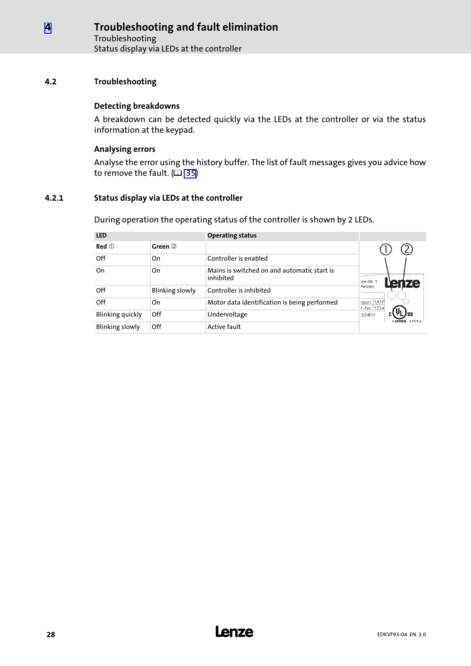#### <span id="page-27-0"></span>4.2 Troubleshooting

#### Detecting breakdowns

A breakdown can be detected quickly via the LEDs at the controller or via the status information at the keypad.

#### Analysing errors

Analyse the error using the history buffer. The list of fault messages gives you advice how to remove the fault.  $(\bar{\mathbb{Q}}$  [35\)](#page-34-0)

#### 4.2.1 Status display via LEDs at the controller

During operation the operating status of the controller is shown by 2 LEDs.

| <b>LED</b>             |                 | <b>Operating status</b>                                  |                            |
|------------------------|-----------------|----------------------------------------------------------|----------------------------|
| $Red$ $0$              | Green 2         |                                                          |                            |
| Off                    | On              | Controller is enabled                                    |                            |
| On                     | On              | Mains is switched on and automatic start is<br>inhibited | 1ze-Str. 1<br><b>Jenze</b> |
| Off                    | Blinking slowly | Controller is inhibited                                  | Aerzen                     |
| Off                    | On              | Motor data identification is being performed             | rsion: 1A1H<br>r.-No: 1234 |
| Blinking quickly       | Off             | Undervoltage                                             | 0/240V                     |
| <b>Blinking slowly</b> | Off             | <b>Active fault</b>                                      |                            |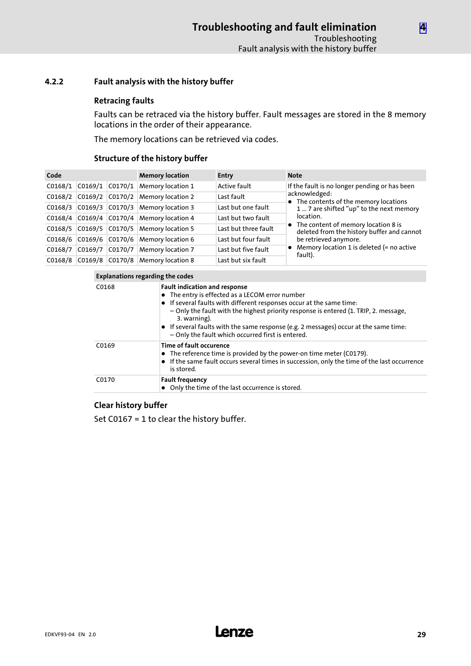#### <span id="page-28-0"></span>4.2.2 Fault analysis with the history buffer

#### Retracing faults

Faults can be retraced via the history buffer. Fault messages are stored in the 8 memory locations in the order of their appearance.

The memory locations can be retrieved via codes.

#### Structure of the history buffer

| Code    |                     | <b>Memory location</b>            | <b>Entry</b>         | <b>Note</b>                                                                         |
|---------|---------------------|-----------------------------------|----------------------|-------------------------------------------------------------------------------------|
| CO168/1 | $CO169/1$ $CO170/1$ | <b>Memory location 1</b>          | Active fault         | If the fault is no longer pending or has been                                       |
| CO168/2 |                     | C0169/2 C0170/2 Memory location 2 | Last fault           | acknowledged:<br>• The contents of the memory locations                             |
| CO168/3 |                     | C0169/3 C0170/3 Memory location 3 | Last but one fault   | 1  7 are shifted "up" to the next memory                                            |
| C0168/4 |                     | C0169/4 C0170/4 Memory location 4 | Last but two fault   | location.                                                                           |
| CO168/5 |                     | C0169/5 C0170/5 Memory location 5 | Last but three fault | • The content of memory location 8 is<br>deleted from the history buffer and cannot |
| CO168/6 |                     | C0169/6 C0170/6 Memory location 6 | Last but four fault  | be retrieved anymore.                                                               |
| C0168/7 | CO169/7             | C0170/7 Memory location 7         | Last but five fault  | • Memory location 1 is deleted $(=$ no active<br>fault).                            |
| CO168/8 |                     | C0169/8 C0170/8 Memory location 8 | Last but six fault   |                                                                                     |

| Explanations regarding the codes |
|----------------------------------|

| C0168 | <b>Fault indication and response</b><br>• The entry is effected as a LECOM error number<br>• If several faults with different responses occur at the same time:<br>- Only the fault with the highest priority response is entered (1. TRIP, 2. message,<br>3. warning).<br>$\bullet$ If several faults with the same response (e.g. 2 messages) occur at the same time:<br>- Only the fault which occurred first is entered. |
|-------|------------------------------------------------------------------------------------------------------------------------------------------------------------------------------------------------------------------------------------------------------------------------------------------------------------------------------------------------------------------------------------------------------------------------------|
| C0169 | Time of fault occurence<br>• The reference time is provided by the power-on time meter (C0179).<br>• If the same fault occurs several times in succession, only the time of the last occurrence<br>is stored.                                                                                                                                                                                                                |
| C0170 | <b>Fault frequency</b><br>• Only the time of the last occurrence is stored.                                                                                                                                                                                                                                                                                                                                                  |

#### Clear history buffer

Set C0167 = 1 to clear the history buffer.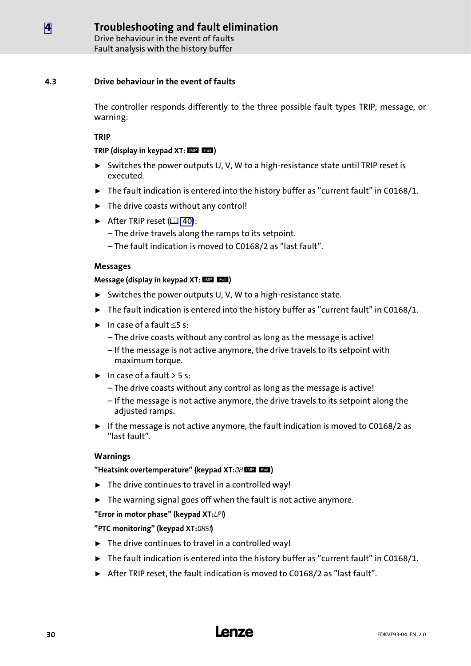Drive behaviour in the event of faults Fault analysis with the history buffer

#### <span id="page-29-0"></span>4.3 Drive behaviour in the event of faults

The controller responds differently to the three possible fault types TRIP, message, or warning:

#### TRIP

#### TRIP (display in keypad  $XT:$   $\blacksquare$   $\blacksquare$

- ƒ Switches the power outputs U, V, W to a high−resistance state until TRIP reset is executed.
- $\triangleright$  The fault indication is entered into the history buffer as "current fault" in C0168/1.
- $\blacktriangleright$  The drive coasts without any control!
- After TRIP reset  $(41 40)$  $(41 40)$ :
	- The drive travels along the ramps to its setpoint.
	- The fault indication is moved to C0168/2 as "last fault".

#### Messages

#### Message (display in keypad  $XT: \blacksquare \blacksquare \blacksquare$ )

- ► Switches the power outputs U, V, W to a high-resistance state.
- $\blacktriangleright$  The fault indication is entered into the history buffer as "current fault" in C0168/1.
- $\blacktriangleright$  In case of a fault  $\leq$ 5 s:
	- The drive coasts without any control as long as the message is active!
	- If the message is not active anymore, the drive travels to its setpoint with maximum torque.
- $\blacktriangleright$  In case of a fault  $>$  5 s:
	- The drive coasts without any control as long as the message is active!
	- If the message is not active anymore, the drive travels to its setpoint along the adjusted ramps.
- $\triangleright$  If the message is not active anymore, the fault indication is moved to C0168/2 as "last fault".

#### Warnings

#### "Heatsink overtemperature" (keypad XT: OH MP Eau)

- $\blacktriangleright$  The drive continues to travel in a controlled way!
- $\blacktriangleright$  The warning signal goes off when the fault is not active anymore.

#### "Error in motor phase" (keypad  $XT:LP$ 1)

#### "PTC monitoring" (keypad XT:0H51)

- $\blacktriangleright$  The drive continues to travel in a controlled way!
- $\triangleright$  The fault indication is entered into the history buffer as "current fault" in C0168/1.
- ▶ After TRIP reset, the fault indication is moved to C0168/2 as "last fault".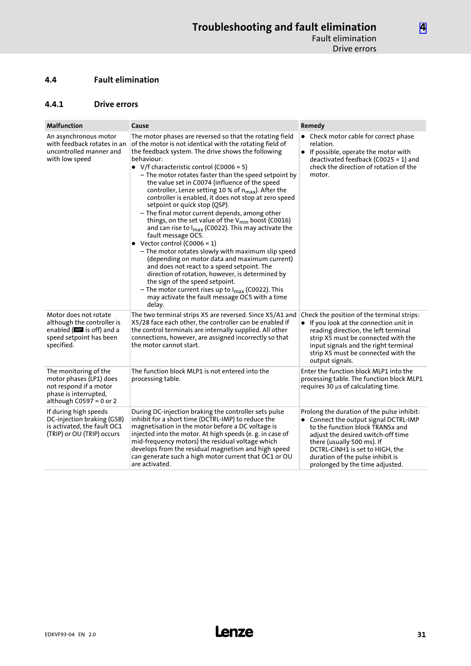#### <span id="page-30-0"></span>4.4 Fault elimination

#### 4.4.1 Drive errors

| <b>Malfunction</b>                                                                                                                     | Cause                                                                                                                                                                                                                                                                                                                                                                                                                                                                                                                                                                                                                                                                                                                                                                                                                                                                                                                                                                                                                                                                                                                  | Remedy                                                                                                                                                                                                                                                                                                |
|----------------------------------------------------------------------------------------------------------------------------------------|------------------------------------------------------------------------------------------------------------------------------------------------------------------------------------------------------------------------------------------------------------------------------------------------------------------------------------------------------------------------------------------------------------------------------------------------------------------------------------------------------------------------------------------------------------------------------------------------------------------------------------------------------------------------------------------------------------------------------------------------------------------------------------------------------------------------------------------------------------------------------------------------------------------------------------------------------------------------------------------------------------------------------------------------------------------------------------------------------------------------|-------------------------------------------------------------------------------------------------------------------------------------------------------------------------------------------------------------------------------------------------------------------------------------------------------|
| An asynchronous motor<br>with feedback rotates in an<br>uncontrolled manner and<br>with low speed                                      | The motor phases are reversed so that the rotating field<br>of the motor is not identical with the rotating field of<br>the feedback system. The drive shows the following<br>behaviour:<br>• V/f characteristic control (C0006 = 5)<br>- The motor rotates faster than the speed setpoint by<br>the value set in C0074 (influence of the speed<br>controller, Lenze setting 10 % of $n_{max}$ ). After the<br>controller is enabled, it does not stop at zero speed<br>setpoint or quick stop (QSP).<br>- The final motor current depends, among other<br>things, on the set value of the V <sub>min</sub> boost (C0016)<br>and can rise to $I_{max}$ (C0022). This may activate the<br>fault message OC5.<br>• Vector control (C0006 = 1)<br>- The motor rotates slowly with maximum slip speed<br>(depending on motor data and maximum current)<br>and does not react to a speed setpoint. The<br>direction of rotation, however, is determined by<br>the sign of the speed setpoint.<br>- The motor current rises up to I <sub>max</sub> (C0022). This<br>may activate the fault message OC5 with a time<br>delay. | • Check motor cable for correct phase<br>relation.<br>• If possible, operate the motor with<br>deactivated feedback (C0025 = 1) and<br>check the direction of rotation of the<br>motor.                                                                                                               |
| Motor does not rotate<br>although the controller is<br>enabled ( $\blacksquare$ is off) and a<br>speed setpoint has been<br>specified. | The two terminal strips X5 are reversed. Since X5/A1 and<br>X5/28 face each other, the controller can be enabled if<br>the control terminals are internally supplied. All other<br>connections, however, are assigned incorrectly so that<br>the motor cannot start.                                                                                                                                                                                                                                                                                                                                                                                                                                                                                                                                                                                                                                                                                                                                                                                                                                                   | Check the position of the terminal strips:<br>• If you look at the connection unit in<br>reading direction, the left terminal<br>strip X5 must be connected with the<br>input signals and the right terminal<br>strip X5 must be connected with the<br>output signals.                                |
| The monitoring of the<br>motor phases (LP1) does<br>not respond if a motor<br>phase is interrupted,<br>although $C0597 = 0$ or 2       | The function block MLP1 is not entered into the<br>processing table.                                                                                                                                                                                                                                                                                                                                                                                                                                                                                                                                                                                                                                                                                                                                                                                                                                                                                                                                                                                                                                                   | Enter the function block MLP1 into the<br>processing table. The function block MLP1<br>requires $30 \mu s$ of calculating time.                                                                                                                                                                       |
| If during high speeds<br>DC-injection braking (GSB)<br>is activated, the fault OC1<br>(TRIP) or OU (TRIP) occurs                       | During DC-injection braking the controller sets pulse<br>inhibit for a short time (DCTRL-IMP) to reduce the<br>magnetisation in the motor before a DC voltage is<br>injected into the motor. At high speeds (e.g. in case of<br>mid-frequency motors) the residual voltage which<br>develops from the residual magnetism and high speed<br>can generate such a high motor current that OC1 or OU<br>are activated.                                                                                                                                                                                                                                                                                                                                                                                                                                                                                                                                                                                                                                                                                                     | Prolong the duration of the pulse inhibit:<br>• Connect the output signal DCTRL-IMP<br>to the function block TRANSx and<br>adjust the desired switch-off time<br>there (usually 500 ms). If<br>DCTRL-CINH1 is set to HIGH, the<br>duration of the pulse inhibit is<br>prolonged by the time adjusted. |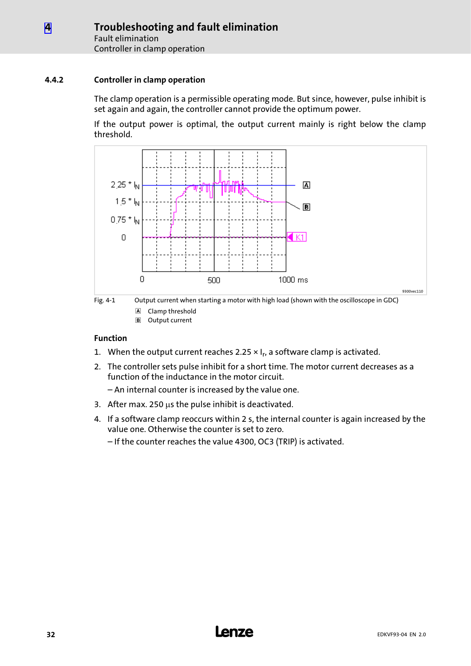#### <span id="page-31-0"></span>4.4.2 Controller in clamp operation

The clamp operation is a permissible operating mode. But since, however, pulse inhibit is set again and again, the controller cannot provide the optimum power.

If the output power is optimal, the output current mainly is right below the clamp threshold.





Output current

#### Function

- 1. When the output current reaches 2.25  $\times$  I<sub>r</sub>, a software clamp is activated.
- 2. The controller sets pulse inhibit for a short time. The motor current decreases as a function of the inductance in the motor circuit.
	- An internal counter is increased by the value one.
- 3. After max. 250  $\mu$ s the pulse inhibit is deactivated.
- 4. If a software clamp reoccurs within 2 s, the internal counter is again increased by the value one. Otherwise the counter is set to zero.
	- If the counter reaches the value 4300, OC3 (TRIP) is activated.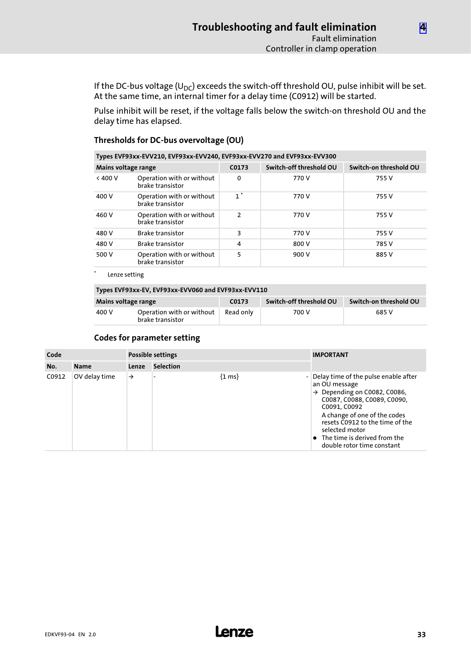If the DC-bus voltage (U<sub>DC</sub>) exceeds the switch-off threshold OU, pulse inhibit will be set. At the same time, an internal timer for a delay time (C0912) will be started.

Pulse inhibit will be reset, if the voltage falls below the switch−on threshold OU and the delay time has elapsed.

| Types EVF93xx-EVV210, EVF93xx-EVV240, EVF93xx-EVV270 and EVF93xx-EVV300 |                                               |               |                         |                        |
|-------------------------------------------------------------------------|-----------------------------------------------|---------------|-------------------------|------------------------|
| Mains voltage range                                                     |                                               | C0173         | Switch-off threshold OU | Switch-on threshold OU |
| < 400 V                                                                 | Operation with or without<br>brake transistor | 0             | 770 V                   | 755 V                  |
| 400 V                                                                   | Operation with or without<br>brake transistor | $1^*$         | 770 V                   | 755 V                  |
| 460 V                                                                   | Operation with or without<br>brake transistor | $\mathcal{P}$ | 770 V                   | 755 V                  |
| 480 V                                                                   | <b>Brake transistor</b>                       | 3             | 770 V                   | 755 V                  |
| 480 V                                                                   | <b>Brake transistor</b>                       | 4             | 800 V                   | 785 V                  |
| 500 V                                                                   | Operation with or without<br>brake transistor | 5             | 900 V                   | 885 V                  |

#### Thresholds for DC−bus overvoltage (OU)

Lenze setting

#### Types EVF93xx−EV, EVF93xx−EVV060 and EVF93xx−EVV110

| Mains voltage range                                    |  | C <sub>0173</sub> | Switch-off threshold OU | Switch-on threshold OU |
|--------------------------------------------------------|--|-------------------|-------------------------|------------------------|
| Operation with or without<br>400 V<br>brake transistor |  | Read only         | 700 V                   | 685 V                  |

#### Codes for parameter setting

| Code  |               | <b>Possible settings</b> |                  |                     | <b>IMPORTANT</b>                                                                                                                                                                                                                                                                                              |
|-------|---------------|--------------------------|------------------|---------------------|---------------------------------------------------------------------------------------------------------------------------------------------------------------------------------------------------------------------------------------------------------------------------------------------------------------|
| No.   | <b>Name</b>   | Lenze                    | <b>Selection</b> |                     |                                                                                                                                                                                                                                                                                                               |
| C0912 | OV delay time | $\rightarrow$            |                  | $\{1 \text{ ms}\}\$ | Delay time of the pulse enable after<br>an OU message<br>$\rightarrow$ Depending on C0082, C0086,<br>C0087, C0088, C0089, C0090,<br>C0091, C0092<br>A change of one of the codes<br>resets C0912 to the time of the<br>selected motor<br>$\bullet$ The time is derived from the<br>double rotor time constant |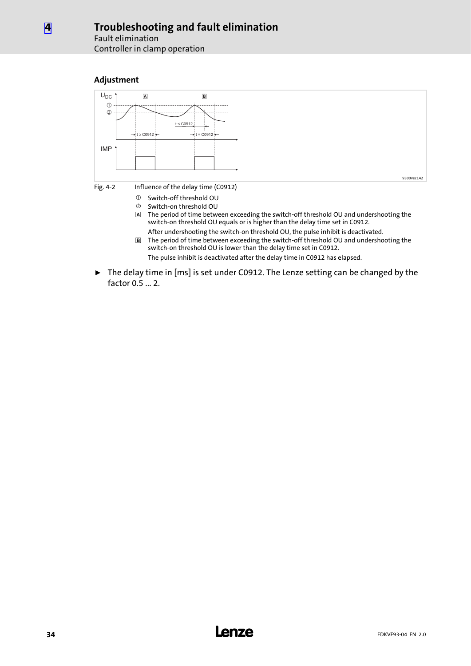Controller in clamp operation





switch−on threshold OU is lower than the delay time set in C0912. The pulse inhibit is deactivated after the delay time in C0912 has elapsed.

► The delay time in [ms] is set under C0912. The Lenze setting can be changed by the factor 0.5 ... 2.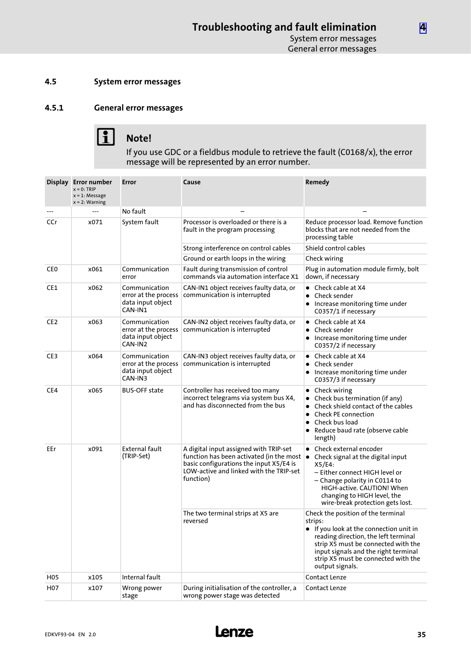#### <span id="page-34-0"></span>4.5 System error messages

### 4.5.1 General error messages



# 1 Note!

If you use GDC or a fieldbus module to retrieve the fault (C0168/x), the error message will be represented by an error number.

|                 | Display Error number<br>$x = 0$ : TRIP<br>$x = 1$ : Message<br>$x = 2$ : Warning | Error                                                                 | Cause                                                                                                                                                                                           | Remedy                                                                                                                                                                                                                                                                  |  |
|-----------------|----------------------------------------------------------------------------------|-----------------------------------------------------------------------|-------------------------------------------------------------------------------------------------------------------------------------------------------------------------------------------------|-------------------------------------------------------------------------------------------------------------------------------------------------------------------------------------------------------------------------------------------------------------------------|--|
|                 | $---$                                                                            | No fault                                                              |                                                                                                                                                                                                 |                                                                                                                                                                                                                                                                         |  |
| CCr             | x071                                                                             | System fault                                                          | Processor is overloaded or there is a<br>fault in the program processing                                                                                                                        | Reduce processor load. Remove function<br>blocks that are not needed from the<br>processing table                                                                                                                                                                       |  |
|                 |                                                                                  |                                                                       | Strong interference on control cables                                                                                                                                                           | Shield control cables                                                                                                                                                                                                                                                   |  |
|                 |                                                                                  |                                                                       | Ground or earth loops in the wiring                                                                                                                                                             | Check wiring                                                                                                                                                                                                                                                            |  |
| <b>CEO</b>      | x061                                                                             | Communication<br>error                                                | Fault during transmission of control<br>commands via automation interface X1                                                                                                                    | Plug in automation module firmly, bolt<br>down, if necessary                                                                                                                                                                                                            |  |
| CE1             | x062                                                                             | Communication<br>error at the process<br>data input object<br>CAN-IN1 | CAN-IN1 object receives faulty data, or<br>communication is interrupted                                                                                                                         | • Check cable at X4<br>Check sender<br>$\bullet$<br>Increase monitoring time under<br>C0357/1 if necessary                                                                                                                                                              |  |
| CE <sub>2</sub> | x063                                                                             | Communication<br>error at the process<br>data input object<br>CAN-IN2 | CAN-IN2 object receives faulty data, or<br>communication is interrupted                                                                                                                         | $\bullet$ Check cable at X4<br>Check sender<br>• Increase monitoring time under<br>C0357/2 if necessary                                                                                                                                                                 |  |
| CE3             | x064                                                                             | Communication<br>error at the process<br>data input object<br>CAN-IN3 | CAN-IN3 object receives faulty data, or<br>communication is interrupted                                                                                                                         | • Check cable at X4<br>• Check sender<br>Increase monitoring time under<br>C0357/3 if necessary                                                                                                                                                                         |  |
| CE4             | x065                                                                             | <b>BUS-OFF state</b>                                                  | Controller has received too many<br>incorrect telegrams via system bus X4,<br>and has disconnected from the bus                                                                                 | • Check wiring<br>Check bus termination (if any)<br>Check shield contact of the cables<br><b>Check PE connection</b><br>$\bullet$<br>Check bus load<br>Reduce baud rate (observe cable<br>length)                                                                       |  |
| EEr             | x091                                                                             | <b>External fault</b><br>(TRIP-Set)                                   | A digital input assigned with TRIP-set<br>function has been activated (in the most $\bullet$<br>basic configurations the input X5/E4 is<br>LOW-active and linked with the TRIP-set<br>function) | $\bullet$ Check external encoder<br>Check signal at the digital input<br>X5/E4:<br>- Either connect HIGH level or<br>- Change polarity in C0114 to<br>HIGH-active. CAUTION! When<br>changing to HIGH level, the<br>wire-break protection gets lost.                     |  |
|                 |                                                                                  |                                                                       | The two terminal strips at X5 are<br>reversed                                                                                                                                                   | Check the position of the terminal<br>strips:<br>If you look at the connection unit in<br>reading direction, the left terminal<br>strip X5 must be connected with the<br>input signals and the right terminal<br>strip X5 must be connected with the<br>output signals. |  |
| H <sub>05</sub> | x105                                                                             | Internal fault                                                        |                                                                                                                                                                                                 | <b>Contact Lenze</b>                                                                                                                                                                                                                                                    |  |
| H07             | x107                                                                             | Wrong power<br>stage                                                  | During initialisation of the controller, a<br>wrong power stage was detected                                                                                                                    | Contact Lenze                                                                                                                                                                                                                                                           |  |

[4](#page-25-0)

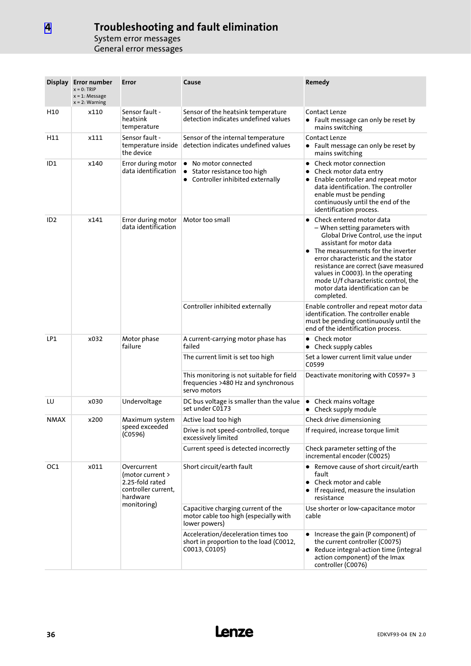|                 | Display Error number<br>$x = 0$ : TRIP<br>$x = 1$ : Message<br>$x = 2$ : Warning | Error                                                                                                | Cause                                                                                                | Remedy                                                                                                                                                                                                                                                                                                                                                                                         |  |
|-----------------|----------------------------------------------------------------------------------|------------------------------------------------------------------------------------------------------|------------------------------------------------------------------------------------------------------|------------------------------------------------------------------------------------------------------------------------------------------------------------------------------------------------------------------------------------------------------------------------------------------------------------------------------------------------------------------------------------------------|--|
| H10             | x110                                                                             | Sensor fault -<br>heatsink<br>temperature                                                            | Sensor of the heatsink temperature<br>detection indicates undefined values                           | Contact Lenze<br>• Fault message can only be reset by<br>mains switching                                                                                                                                                                                                                                                                                                                       |  |
| H11             | x111                                                                             | Sensor fault -<br>temperature inside<br>the device                                                   | Sensor of the internal temperature<br>detection indicates undefined values                           | Contact Lenze<br>• Fault message can only be reset by<br>mains switching                                                                                                                                                                                                                                                                                                                       |  |
| ID <sub>1</sub> | x140                                                                             | Error during motor<br>data identification                                                            | • No motor connected<br>Stator resistance too high<br>$\bullet$<br>• Controller inhibited externally | • Check motor connection<br>Check motor data entry<br>• Enable controller and repeat motor<br>data identification. The controller<br>enable must be pending<br>continuously until the end of the<br>identification process.                                                                                                                                                                    |  |
| ID <sub>2</sub> | x141                                                                             | Error during motor<br>data identification                                                            | Motor too small                                                                                      | • Check entered motor data<br>– When setting parameters with<br>Global Drive Control, use the input<br>assistant for motor data<br>$\bullet$ The measurements for the inverter<br>error characteristic and the stator<br>resistance are correct (save measured<br>values in C0003). In the operating<br>mode U/f characteristic control, the<br>motor data identification can be<br>completed. |  |
|                 |                                                                                  |                                                                                                      | Controller inhibited externally                                                                      | Enable controller and repeat motor data<br>identification. The controller enable<br>must be pending continuously until the<br>end of the identification process.                                                                                                                                                                                                                               |  |
| LP1             | x032                                                                             | Motor phase<br>failure                                                                               | A current-carrying motor phase has<br>failed                                                         | $\bullet$ Check motor<br>• Check supply cables                                                                                                                                                                                                                                                                                                                                                 |  |
|                 |                                                                                  |                                                                                                      | The current limit is set too high                                                                    | Set a lower current limit value under<br>C0599                                                                                                                                                                                                                                                                                                                                                 |  |
|                 |                                                                                  |                                                                                                      | This monitoring is not suitable for field<br>frequencies >480 Hz and synchronous<br>servo motors     | Deactivate monitoring with C0597=3                                                                                                                                                                                                                                                                                                                                                             |  |
| LU              | x030                                                                             | Undervoltage                                                                                         | DC bus voltage is smaller than the value<br>set under C0173                                          | • Check mains voltage<br>• Check supply module                                                                                                                                                                                                                                                                                                                                                 |  |
| <b>NMAX</b>     | x200                                                                             | Maximum system                                                                                       | Active load too high                                                                                 | Check drive dimensioning                                                                                                                                                                                                                                                                                                                                                                       |  |
|                 |                                                                                  | speed exceeded<br>(C0596)                                                                            | Drive is not speed-controlled, torque<br>excessively limited                                         | If required, increase torque limit                                                                                                                                                                                                                                                                                                                                                             |  |
|                 |                                                                                  |                                                                                                      | Current speed is detected incorrectly                                                                | Check parameter setting of the<br>incremental encoder (C0025)                                                                                                                                                                                                                                                                                                                                  |  |
| OC1             | x011                                                                             | Overcurrent<br>(motor current ><br>2.25-fold rated<br>controller current,<br>hardware<br>monitoring) | Short circuit/earth fault                                                                            | • Remove cause of short circuit/earth<br>fault<br>• Check motor and cable<br>• If required, measure the insulation<br>resistance                                                                                                                                                                                                                                                               |  |
|                 |                                                                                  |                                                                                                      | Capacitive charging current of the<br>motor cable too high (especially with<br>lower powers)         | Use shorter or low-capacitance motor<br>cable                                                                                                                                                                                                                                                                                                                                                  |  |
|                 |                                                                                  |                                                                                                      | Acceleration/deceleration times too<br>short in proportion to the load (C0012,<br>C0013, C0105)      | • Increase the gain (P component) of<br>the current controller (C0075)<br>• Reduce integral-action time (integral<br>action component) of the Imax<br>controller (C0076)                                                                                                                                                                                                                       |  |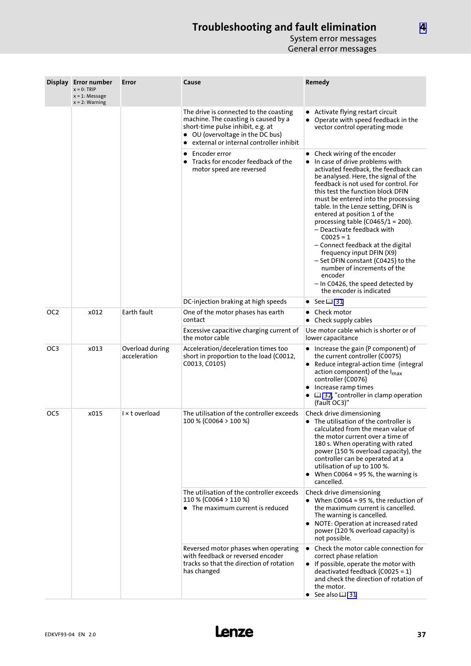|                 | Display Error number<br>$x = 0$ : TRIP<br>$x = 1$ : Message<br>$x = 2$ : Warning | Error                           | Cause                                                                                                                                                                                                | Remedy                                                                                                                                                                                                                                                                                                                                                                                                                                                                                                                                                                                                                                              |
|-----------------|----------------------------------------------------------------------------------|---------------------------------|------------------------------------------------------------------------------------------------------------------------------------------------------------------------------------------------------|-----------------------------------------------------------------------------------------------------------------------------------------------------------------------------------------------------------------------------------------------------------------------------------------------------------------------------------------------------------------------------------------------------------------------------------------------------------------------------------------------------------------------------------------------------------------------------------------------------------------------------------------------------|
|                 |                                                                                  |                                 | The drive is connected to the coasting<br>machine. The coasting is caused by a<br>short-time pulse inhibit, e.g. at<br>• OU (overvoltage in the DC bus)<br>• external or internal controller inhibit | • Activate flying restart circuit<br>• Operate with speed feedback in the<br>vector control operating mode                                                                                                                                                                                                                                                                                                                                                                                                                                                                                                                                          |
|                 |                                                                                  |                                 | Encoder error<br>$\bullet$ Tracks for encoder feedback of the<br>motor speed are reversed                                                                                                            | • Check wiring of the encoder<br>• In case of drive problems with<br>activated feedback, the feedback can<br>be analysed. Here, the signal of the<br>feedback is not used for control. For<br>this test the function block DFIN<br>must be entered into the processing<br>table. In the Lenze setting, DFIN is<br>entered at position 1 of the<br>processing table (C0465/1 = 200).<br>– Deactivate feedback with<br>$C0025 = 1$<br>- Connect feedback at the digital<br>frequency input DFIN (X9)<br>- Set DFIN constant (C0425) to the<br>number of increments of the<br>encoder<br>- In C0426, the speed detected by<br>the encoder is indicated |
|                 |                                                                                  |                                 | DC-injection braking at high speeds                                                                                                                                                                  | $\bullet$ See $\boxplus$ 31                                                                                                                                                                                                                                                                                                                                                                                                                                                                                                                                                                                                                         |
| OC <sub>2</sub> | x012                                                                             | Earth fault                     | One of the motor phases has earth<br>contact                                                                                                                                                         | Check motor<br>$\bullet$<br>• Check supply cables                                                                                                                                                                                                                                                                                                                                                                                                                                                                                                                                                                                                   |
|                 |                                                                                  |                                 | Excessive capacitive charging current of<br>the motor cable                                                                                                                                          | Use motor cable which is shorter or of<br>lower capacitance                                                                                                                                                                                                                                                                                                                                                                                                                                                                                                                                                                                         |
| OC <sub>3</sub> | x013                                                                             | Overload during<br>acceleration | Acceleration/deceleration times too<br>short in proportion to the load (C0012,<br>C0013, C0105)                                                                                                      | • Increase the gain (P component) of<br>the current controller (C0075)<br>• Reduce integral-action time (integral<br>action component) of the $I_{\text{max}}$<br>controller (C0076)<br>• Increase ramp times<br>$\bullet$ $\Box$ 32, "controller in clamp operation<br>(fault OC3)"                                                                                                                                                                                                                                                                                                                                                                |
| OC5             | x015                                                                             | I × t overload                  | The utilisation of the controller exceeds<br>100 % (C0064 > 100 %)                                                                                                                                   | Check drive dimensioning<br>• The utilisation of the controller is<br>calculated from the mean value of<br>the motor current over a time of<br>180 s. When operating with rated<br>power (150 % overload capacity), the<br>controller can be operated at a<br>utilisation of up to 100 %.<br>• When $C0064 = 95 %$ , the warning is<br>cancelled.                                                                                                                                                                                                                                                                                                   |
|                 |                                                                                  |                                 | The utilisation of the controller exceeds<br>110 % (C0064 > 110 %)<br>• The maximum current is reduced                                                                                               | Check drive dimensioning<br>• When C0064 = 95 %, the reduction of<br>the maximum current is cancelled.<br>The warning is cancelled.<br>• NOTE: Operation at increased rated<br>power (120 % overload capacity) is<br>not possible.                                                                                                                                                                                                                                                                                                                                                                                                                  |
|                 |                                                                                  |                                 | Reversed motor phases when operating<br>with feedback or reversed encoder<br>tracks so that the direction of rotation<br>has changed                                                                 | • Check the motor cable connection for<br>correct phase relation<br>• If possible, operate the motor with<br>deactivated feedback (C0025 = $1$ )<br>and check the direction of rotation of<br>the motor.<br>• See also $\square$ 31                                                                                                                                                                                                                                                                                                                                                                                                                 |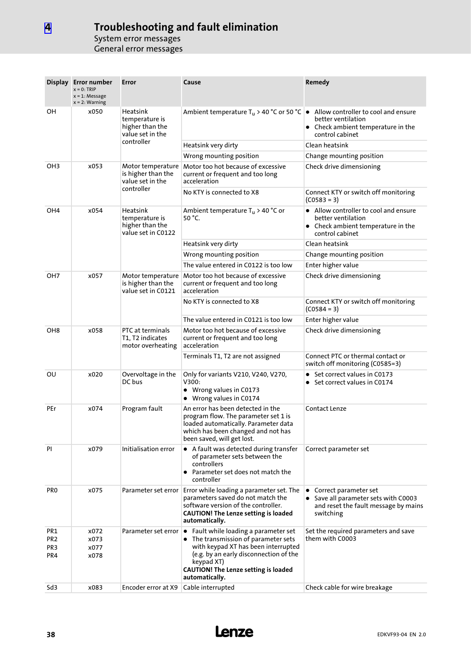|                                                  | Display Error number<br>$x = 0$ : TRIP<br>$x = 1$ : Message<br>$x = 2$ : Warning | Error                                                                                  | Cause                                                                                                                                                                                                                                                                     | Remedy                                                                                                               |  |
|--------------------------------------------------|----------------------------------------------------------------------------------|----------------------------------------------------------------------------------------|---------------------------------------------------------------------------------------------------------------------------------------------------------------------------------------------------------------------------------------------------------------------------|----------------------------------------------------------------------------------------------------------------------|--|
| OН                                               | x050                                                                             | <b>Heatsink</b><br>temperature is<br>higher than the<br>value set in the<br>controller | Ambient temperature T <sub>u</sub> > 40 °C or 50 °C $\bullet$ Allow controller to cool and ensure                                                                                                                                                                         | better ventilation<br>• Check ambient temperature in the<br>control cabinet                                          |  |
|                                                  |                                                                                  |                                                                                        | Heatsink very dirty                                                                                                                                                                                                                                                       | Clean heatsink                                                                                                       |  |
|                                                  |                                                                                  |                                                                                        | Wrong mounting position                                                                                                                                                                                                                                                   | Change mounting position                                                                                             |  |
| OH3<br>x053                                      |                                                                                  | Motor temperature<br>is higher than the<br>value set in the                            | Motor too hot because of excessive<br>current or frequent and too long<br>acceleration                                                                                                                                                                                    | Check drive dimensioning                                                                                             |  |
|                                                  |                                                                                  | controller                                                                             | No KTY is connected to X8                                                                                                                                                                                                                                                 | Connect KTY or switch off monitoring<br>$(C0583 = 3)$                                                                |  |
| OH <sub>4</sub>                                  | x054                                                                             | <b>Heatsink</b><br>temperature is<br>higher than the<br>value set in C0122             | Ambient temperature $T_u > 40$ °C or<br>50 °C.                                                                                                                                                                                                                            | • Allow controller to cool and ensure<br>better ventilation<br>• Check ambient temperature in the<br>control cabinet |  |
|                                                  |                                                                                  |                                                                                        | Heatsink very dirty                                                                                                                                                                                                                                                       | Clean heatsink                                                                                                       |  |
|                                                  |                                                                                  |                                                                                        | Wrong mounting position                                                                                                                                                                                                                                                   | Change mounting position                                                                                             |  |
|                                                  |                                                                                  |                                                                                        | The value entered in C0122 is too low                                                                                                                                                                                                                                     | Enter higher value                                                                                                   |  |
| OH <sub>7</sub>                                  | x057                                                                             | Motor temperature<br>is higher than the<br>value set in C0121                          | Motor too hot because of excessive<br>current or frequent and too long<br>acceleration                                                                                                                                                                                    | Check drive dimensioning                                                                                             |  |
|                                                  |                                                                                  |                                                                                        | No KTY is connected to X8                                                                                                                                                                                                                                                 | Connect KTY or switch off monitoring<br>$(C0584 = 3)$                                                                |  |
|                                                  |                                                                                  |                                                                                        | The value entered in C0121 is too low                                                                                                                                                                                                                                     | Enter higher value                                                                                                   |  |
| OH <sub>8</sub><br>x058                          |                                                                                  | PTC at terminals<br>T1, T2 indicates<br>motor overheating                              | Motor too hot because of excessive<br>current or frequent and too long<br>acceleration                                                                                                                                                                                    | Check drive dimensioning                                                                                             |  |
|                                                  |                                                                                  |                                                                                        | Terminals T1, T2 are not assigned                                                                                                                                                                                                                                         | Connect PTC or thermal contact or<br>switch off monitoring (C0585=3)                                                 |  |
| ΟU                                               | x020                                                                             | Overvoltage in the<br>DC bus                                                           | Only for variants V210, V240, V270,<br>V300:<br>• Wrong values in C0173<br>Wrong values in C0174                                                                                                                                                                          | • Set correct values in C0173<br>• Set correct values in C0174                                                       |  |
| PEr                                              | x074                                                                             | Program fault                                                                          | An error has been detected in the<br>program flow. The parameter set 1 is<br>loaded automatically. Parameter data<br>which has been changed and not has<br>been saved, will get lost.                                                                                     | Contact Lenze                                                                                                        |  |
| PI                                               | x079                                                                             | Initialisation error                                                                   | • A fault was detected during transfer<br>of parameter sets between the<br>controllers<br>• Parameter set does not match the<br>controller                                                                                                                                | Correct parameter set                                                                                                |  |
| <b>PRO</b>                                       | x075                                                                             | Parameter set error                                                                    | Error while loading a parameter set. The<br>parameters saved do not match the<br>software version of the controller.<br><b>CAUTION! The Lenze setting is loaded</b><br>automatically.                                                                                     | • Correct parameter set<br>• Save all parameter sets with C0003<br>and reset the fault message by mains<br>switching |  |
| PR1<br>PR <sub>2</sub><br>PR <sub>3</sub><br>PR4 | x072<br>x073<br>x077<br>x078                                                     |                                                                                        | Parameter set error $\bullet$ Fault while loading a parameter set<br>• The transmission of parameter sets<br>with keypad XT has been interrupted<br>(e.g. by an early disconnection of the<br>keypad XT)<br><b>CAUTION! The Lenze setting is loaded</b><br>automatically. | Set the required parameters and save<br>them with C0003                                                              |  |
| Sd3                                              | x083                                                                             | Encoder error at X9                                                                    | Cable interrupted                                                                                                                                                                                                                                                         | Check cable for wire breakage                                                                                        |  |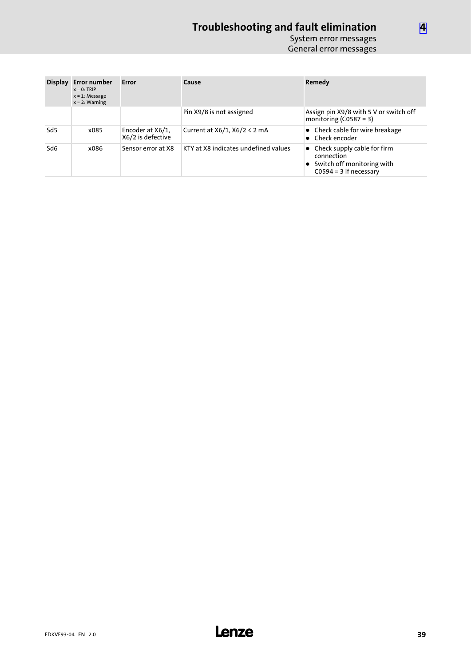| <b>Display</b>  | <b>Error number</b><br>$x = 0$ : TRIP<br>$x = 1$ : Message<br>$x = 2$ : Warning | Error                                 | Cause                                | Remedy                                                                                                          |
|-----------------|---------------------------------------------------------------------------------|---------------------------------------|--------------------------------------|-----------------------------------------------------------------------------------------------------------------|
|                 |                                                                                 |                                       | Pin X9/8 is not assigned             | Assign pin X9/8 with 5 V or switch off<br>monitoring $(C0587 = 3)$                                              |
| Sd <sub>5</sub> | x085                                                                            | Encoder at X6/1.<br>X6/2 is defective | Current at $X6/1$ , $X6/2 < 2$ mA    | • Check cable for wire breakage<br>• Check encoder                                                              |
| Sd6             | x086                                                                            | Sensor error at X8                    | KTY at X8 indicates undefined values | $\bullet$ Check supply cable for firm<br>connection<br>• Switch off monitoring with<br>$C0594 = 3$ if necessary |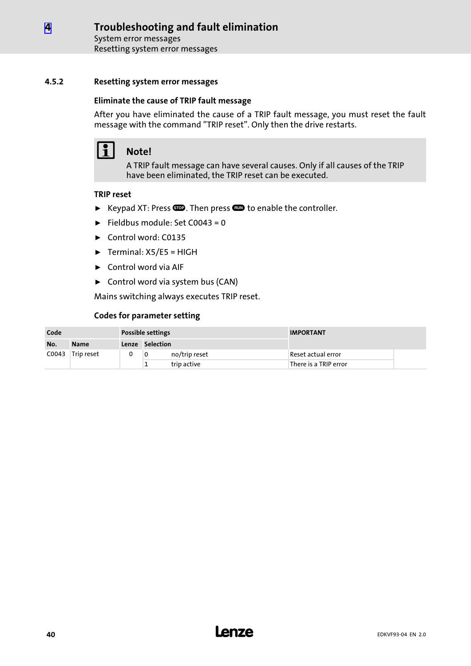System error messages Resetting system error messages

#### <span id="page-39-0"></span>4.5.2 Resetting system error messages

#### Eliminate the cause of TRIP fault message

After you have eliminated the cause of a TRIP fault message, you must reset the fault message with the command "TRIP reset". Only then the drive restarts.

# 1 Note!

A TRIP fault message can have several causes. Only if all causes of the TRIP have been eliminated, the TRIP reset can be executed.

#### TRIP reset

- ► Keypad XT: Press  $\bullet\bullet\bullet$ . Then press  $\bullet\bullet\bullet\bullet$  to enable the controller.
- $\blacktriangleright$  Fieldbus module: Set C0043 = 0
- ► Control word: C0135
- $\blacktriangleright$  Terminal: X5/E5 = HIGH
- $\blacktriangleright$  Control word via AIF
- ► Control word via system bus (CAN)

Mains switching always executes TRIP reset.

#### Codes for parameter setting

| Code  |             | <b>Possible settings</b> |                 |               | <b>IMPORTANT</b>      |  |  |
|-------|-------------|--------------------------|-----------------|---------------|-----------------------|--|--|
| No.   | <b>Name</b> |                          | Lenze Selection |               |                       |  |  |
| C0043 | Trip reset  |                          | 0               | no/trip reset | Reset actual error    |  |  |
|       |             |                          |                 | trip active   | There is a TRIP error |  |  |